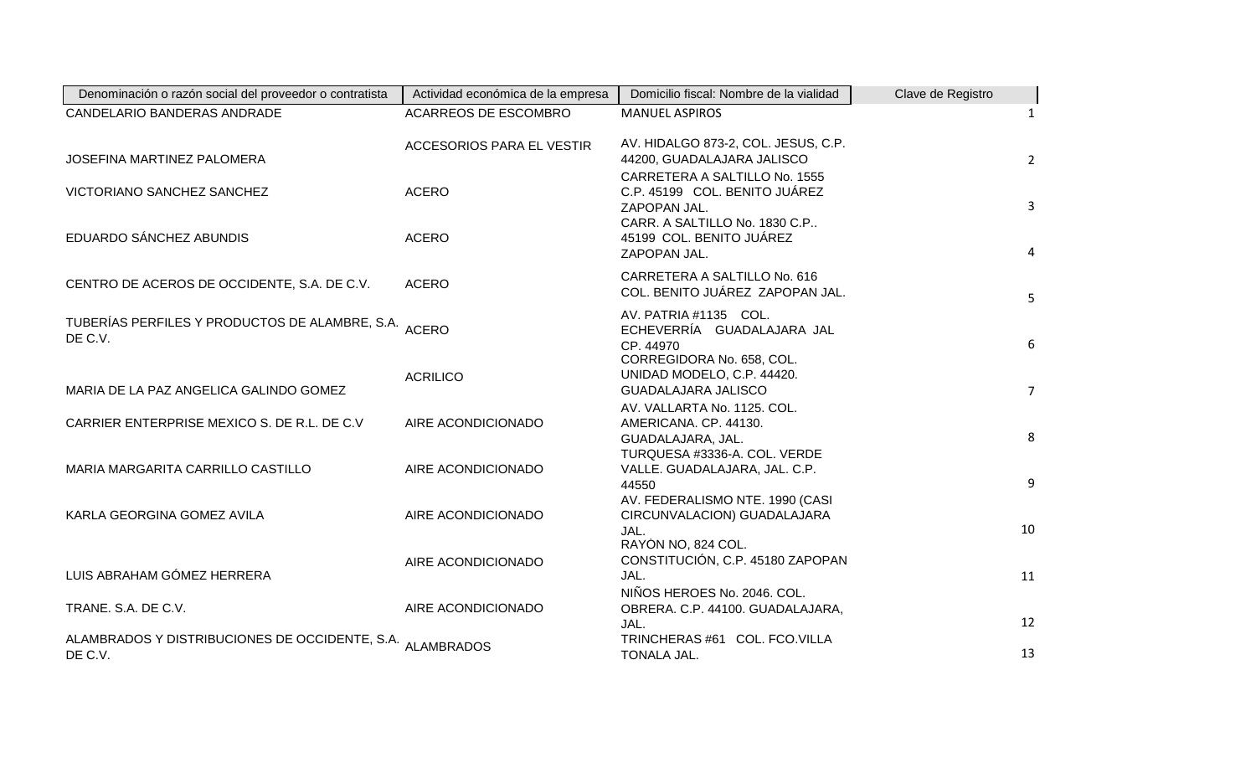| Denominación o razón social del proveedor o contratista              | Actividad económica de la empresa | Domicilio fiscal: Nombre de la vialidad                                                       | Clave de Registro |
|----------------------------------------------------------------------|-----------------------------------|-----------------------------------------------------------------------------------------------|-------------------|
| CANDELARIO BANDERAS ANDRADE                                          | ACARREOS DE ESCOMBRO              | <b>MANUEL ASPIROS</b>                                                                         | 1                 |
| JOSEFINA MARTINEZ PALOMERA                                           | <b>ACCESORIOS PARA EL VESTIR</b>  | AV. HIDALGO 873-2, COL. JESUS, C.P.<br>44200, GUADALAJARA JALISCO                             | $2^{\circ}$       |
| VICTORIANO SANCHEZ SANCHEZ                                           | <b>ACERO</b>                      | CARRETERA A SALTILLO No. 1555<br>C.P. 45199 COL. BENITO JUÁREZ<br>ZAPOPAN JAL.                | $\overline{3}$    |
| EDUARDO SÁNCHEZ ABUNDIS                                              | <b>ACERO</b>                      | CARR. A SALTILLO No. 1830 C.P<br>45199 COL. BENITO JUÁREZ<br>ZAPOPAN JAL.                     | $\overline{4}$    |
| CENTRO DE ACEROS DE OCCIDENTE, S.A. DE C.V.                          | <b>ACERO</b>                      | CARRETERA A SALTILLO No. 616<br>COL. BENITO JUÁREZ ZAPOPAN JAL.                               | 5                 |
| TUBERÍAS PERFILES Y PRODUCTOS DE ALAMBRE, S.A. ACERO<br>DE C.V.      |                                   | AV. PATRIA #1135 COL.<br>ECHEVERRÍA GUADALAJARA JAL<br>CP. 44970<br>CORREGIDORA No. 658, COL. | 6                 |
| MARIA DE LA PAZ ANGELICA GALINDO GOMEZ                               | <b>ACRILICO</b>                   | UNIDAD MODELO, C.P. 44420.<br>GUADALAJARA JALISCO                                             | 7 <sup>7</sup>    |
| CARRIER ENTERPRISE MEXICO S. DE R.L. DE C.V                          | AIRE ACONDICIONADO                | AV. VALLARTA No. 1125. COL.<br>AMERICANA. CP. 44130.<br>GUADALAJARA, JAL.                     | 8                 |
| MARIA MARGARITA CARRILLO CASTILLO                                    | AIRE ACONDICIONADO                | TURQUESA #3336-A. COL. VERDE<br>VALLE. GUADALAJARA, JAL. C.P.<br>44550                        | 9                 |
| KARLA GEORGINA GOMEZ AVILA                                           | AIRE ACONDICIONADO                | AV. FEDERALISMO NTE. 1990 (CASI<br>CIRCUNVALACION) GUADALAJARA<br>JAL.                        | 10                |
| LUIS ABRAHAM GÓMEZ HERRERA                                           | AIRE ACONDICIONADO                | RAYON NO, 824 COL.<br>CONSTITUCIÓN, C.P. 45180 ZAPOPAN<br>JAL.                                | 11                |
| TRANE. S.A. DE C.V.                                                  | AIRE ACONDICIONADO                | NIÑOS HEROES No. 2046. COL.<br>OBRERA. C.P. 44100. GUADALAJARA,<br>JAL.                       | 12                |
| ALAMBRADOS Y DISTRIBUCIONES DE OCCIDENTE, S.A. ALAMBRADOS<br>DE C.V. |                                   | TRINCHERAS #61 COL. FCO.VILLA<br>TONALA JAL.                                                  | 13                |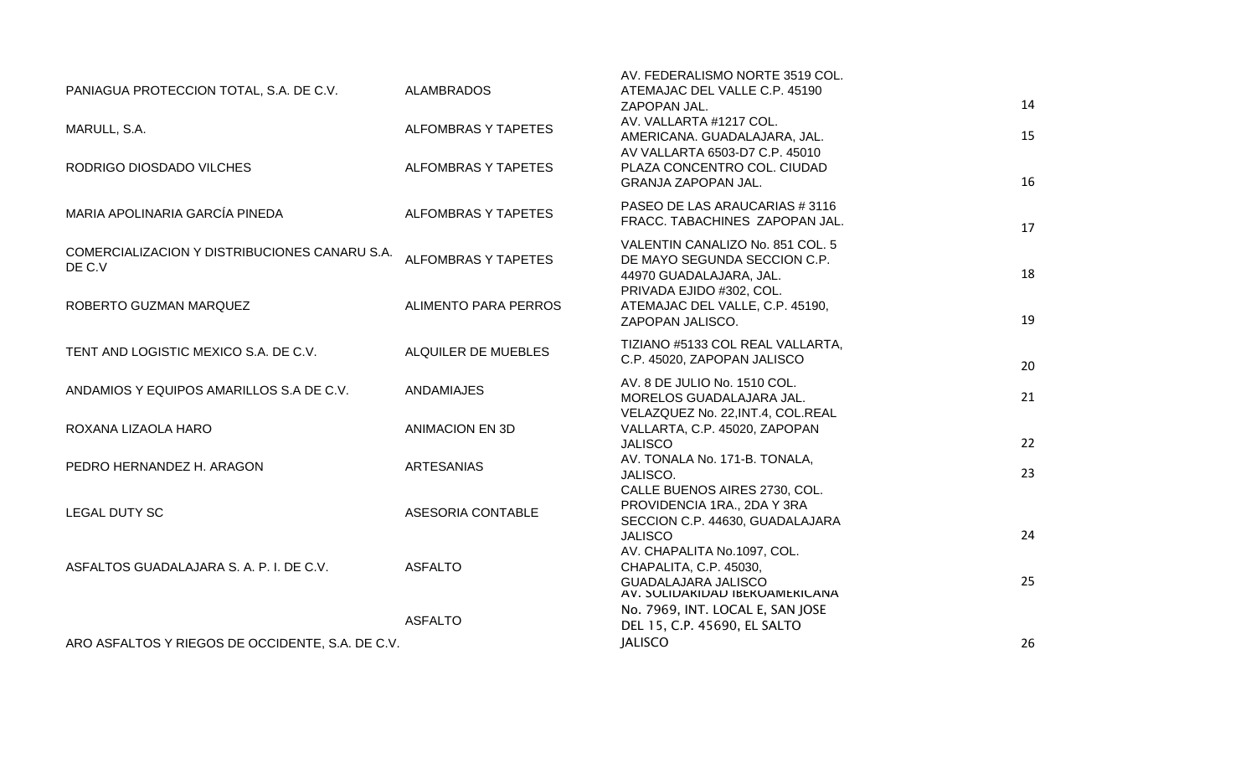| PANIAGUA PROTECCION TOTAL, S.A. DE C.V.                 | <b>ALAMBRADOS</b>           | AV. FEDERALISMO NORTE 3519 COL.<br>ATEMAJAC DEL VALLE C.P. 45190<br>ZAPOPAN JAL.                   | 14 |
|---------------------------------------------------------|-----------------------------|----------------------------------------------------------------------------------------------------|----|
| MARULL, S.A.                                            | <b>ALFOMBRAS Y TAPETES</b>  | AV. VALLARTA #1217 COL.<br>AMERICANA. GUADALAJARA, JAL.                                            | 15 |
| RODRIGO DIOSDADO VILCHES                                | <b>ALFOMBRAS Y TAPETES</b>  | AV VALLARTA 6503-D7 C.P. 45010<br>PLAZA CONCENTRO COL. CIUDAD<br><b>GRANJA ZAPOPAN JAL.</b>        | 16 |
| MARIA APOLINARIA GARCÍA PINEDA                          | <b>ALFOMBRAS Y TAPETES</b>  | PASEO DE LAS ARAUCARIAS #3116<br>FRACC. TABACHINES ZAPOPAN JAL.                                    | 17 |
| COMERCIALIZACION Y DISTRIBUCIONES CANARU S.A.<br>DE C.V | <b>ALFOMBRAS Y TAPETES</b>  | VALENTIN CANALIZO No. 851 COL. 5<br>DE MAYO SEGUNDA SECCION C.P.<br>44970 GUADALAJARA, JAL.        | 18 |
| ROBERTO GUZMAN MARQUEZ                                  | <b>ALIMENTO PARA PERROS</b> | PRIVADA EJIDO #302, COL.<br>ATEMAJAC DEL VALLE, C.P. 45190,<br>ZAPOPAN JALISCO.                    | 19 |
| TENT AND LOGISTIC MEXICO S.A. DE C.V.                   | ALQUILER DE MUEBLES         | TIZIANO #5133 COL REAL VALLARTA,<br>C.P. 45020, ZAPOPAN JALISCO                                    | 20 |
| ANDAMIOS Y EQUIPOS AMARILLOS S.A DE C.V.                | <b>ANDAMIAJES</b>           | AV. 8 DE JULIO No. 1510 COL.<br>MORELOS GUADALAJARA JAL.                                           | 21 |
| ROXANA LIZAOLA HARO                                     | <b>ANIMACION EN 3D</b>      | VELAZQUEZ No. 22, INT.4, COL.REAL<br>VALLARTA, C.P. 45020, ZAPOPAN<br><b>JALISCO</b>               | 22 |
| PEDRO HERNANDEZ H. ARAGON                               | <b>ARTESANIAS</b>           | AV. TONALA No. 171-B. TONALA,<br>JALISCO.<br>CALLE BUENOS AIRES 2730, COL.                         | 23 |
| <b>LEGAL DUTY SC</b>                                    | ASESORIA CONTABLE           | PROVIDENCIA 1RA., 2DA Y 3RA<br>SECCION C.P. 44630, GUADALAJARA<br><b>JALISCO</b>                   | 24 |
| ASFALTOS GUADALAJARA S. A. P. I. DE C.V.                | <b>ASFALTO</b>              | AV. CHAPALITA No.1097, COL.<br>CHAPALITA, C.P. 45030,<br><b>GUADALAJARA JALISCO</b>                | 25 |
|                                                         | <b>ASFALTO</b>              | AV. SULIDARIDAD IBERUAMERICANA<br>No. 7969, INT. LOCAL E, SAN JOSE<br>DEL 15, C.P. 45690, EL SALTO |    |
| ARO ASFALTOS Y RIEGOS DE OCCIDENTE, S.A. DE C.V.        |                             | <b>JALISCO</b>                                                                                     | 26 |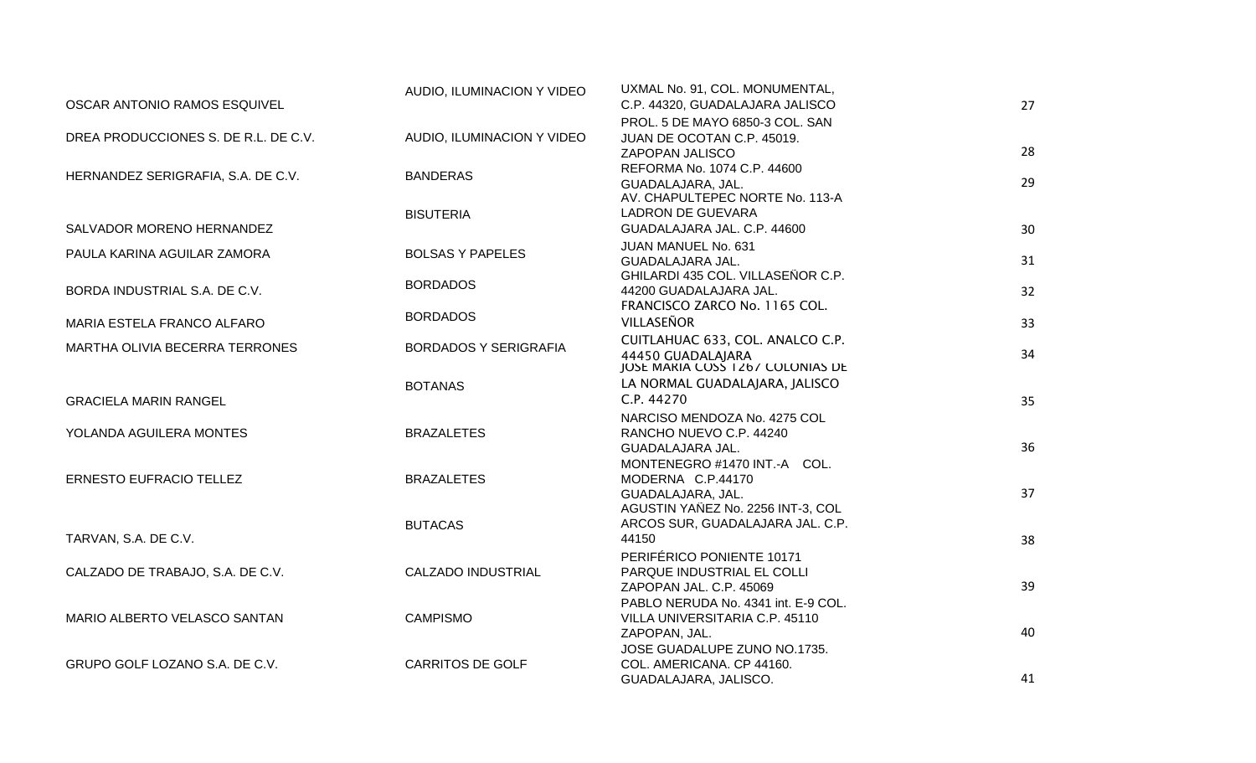|                                      | AUDIO, ILUMINACION Y VIDEO   | UXMAL No. 91, COL. MONUMENTAL,                                     |    |
|--------------------------------------|------------------------------|--------------------------------------------------------------------|----|
| OSCAR ANTONIO RAMOS ESQUIVEL         |                              | C.P. 44320, GUADALAJARA JALISCO                                    | 27 |
|                                      |                              | PROL. 5 DE MAYO 6850-3 COL. SAN                                    |    |
| DREA PRODUCCIONES S. DE R.L. DE C.V. | AUDIO, ILUMINACION Y VIDEO   | JUAN DE OCOTAN C.P. 45019.                                         |    |
|                                      |                              | ZAPOPAN JALISCO                                                    | 28 |
|                                      |                              | REFORMA No. 1074 C.P. 44600                                        |    |
| HERNANDEZ SERIGRAFIA, S.A. DE C.V.   | <b>BANDERAS</b>              | GUADALAJARA, JAL.                                                  | 29 |
|                                      |                              | AV. CHAPULTEPEC NORTE No. 113-A                                    |    |
|                                      | <b>BISUTERIA</b>             | <b>LADRON DE GUEVARA</b>                                           |    |
| SALVADOR MORENO HERNANDEZ            |                              | GUADALAJARA JAL. C.P. 44600                                        | 30 |
| PAULA KARINA AGUILAR ZAMORA          | <b>BOLSAS Y PAPELES</b>      | JUAN MANUEL No. 631                                                |    |
|                                      |                              | GUADALAJARA JAL.                                                   | 31 |
|                                      | <b>BORDADOS</b>              | GHILARDI 435 COL. VILLASEÑOR C.P.                                  |    |
| BORDA INDUSTRIAL S.A. DE C.V.        |                              | 44200 GUADALAJARA JAL.                                             | 32 |
|                                      | <b>BORDADOS</b>              | FRANCISCO ZARCO No. 1165 COL.                                      |    |
| MARIA ESTELA FRANCO ALFARO           |                              | VILLASEÑOR                                                         | 33 |
| MARTHA OLIVIA BECERRA TERRONES       | <b>BORDADOS Y SERIGRAFIA</b> | CUITLAHUAC 633, COL. ANALCO C.P.                                   |    |
|                                      |                              | 44450 GUADALAJARA                                                  | 34 |
|                                      |                              | JOSE MARIA COSŠ 1267 COLONIAS DE<br>LA NORMAL GUADALAJARA, JALISCO |    |
|                                      | <b>BOTANAS</b>               | C.P. 44270                                                         |    |
| <b>GRACIELA MARIN RANGEL</b>         |                              |                                                                    | 35 |
|                                      |                              | NARCISO MENDOZA No. 4275 COL                                       |    |
| YOLANDA AGUILERA MONTES              | <b>BRAZALETES</b>            | RANCHO NUEVO C.P. 44240                                            | 36 |
|                                      |                              | GUADALAJARA JAL.                                                   |    |
| <b>ERNESTO EUFRACIO TELLEZ</b>       | <b>BRAZALETES</b>            | MONTENEGRO #1470 INT.-A COL.                                       |    |
|                                      |                              | MODERNA C.P.44170<br>GUADALAJARA, JAL.                             | 37 |
|                                      |                              | AGUSTIN YAÑEZ No. 2256 INT-3, COL                                  |    |
|                                      | <b>BUTACAS</b>               | ARCOS SUR, GUADALAJARA JAL. C.P.                                   |    |
| TARVAN, S.A. DE C.V.                 |                              | 44150                                                              | 38 |
|                                      |                              | PERIFÉRICO PONIENTE 10171                                          |    |
| CALZADO DE TRABAJO, S.A. DE C.V.     | <b>CALZADO INDUSTRIAL</b>    | PARQUE INDUSTRIAL EL COLLI                                         |    |
|                                      |                              | ZAPOPAN JAL. C.P. 45069                                            | 39 |
|                                      |                              | PABLO NERUDA No. 4341 int. E-9 COL.                                |    |
| MARIO ALBERTO VELASCO SANTAN         | <b>CAMPISMO</b>              | VILLA UNIVERSITARIA C.P. 45110                                     |    |
|                                      |                              | ZAPOPAN, JAL.                                                      | 40 |
|                                      |                              | JOSE GUADALUPE ZUNO NO.1735.                                       |    |
| GRUPO GOLF LOZANO S.A. DE C.V.       | <b>CARRITOS DE GOLF</b>      | COL. AMERICANA. CP 44160.                                          |    |
|                                      |                              | GUADALAJARA, JALISCO.                                              | 41 |
|                                      |                              |                                                                    |    |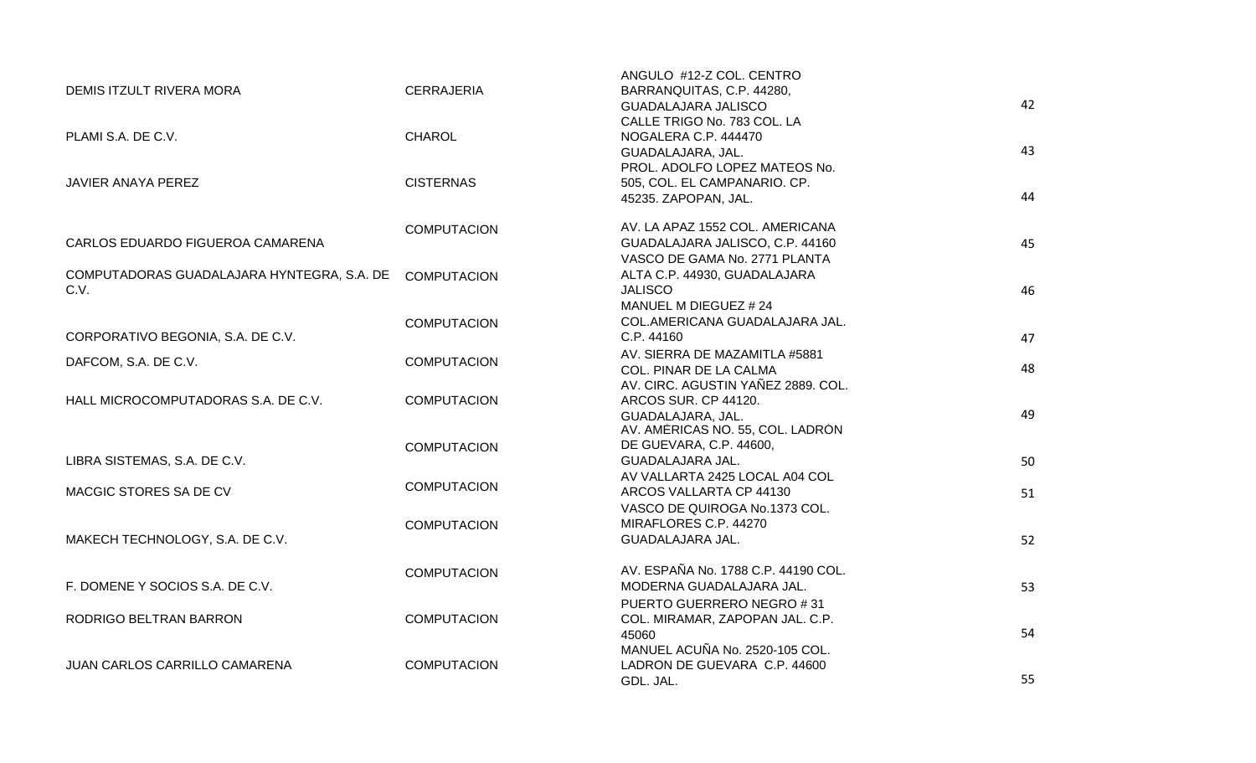| DEMIS ITZULT RIVERA MORA                   | <b>CERRAJERIA</b>  | ANGULO #12-Z COL. CENTRO<br>BARRANQUITAS, C.P. 44280, |    |
|--------------------------------------------|--------------------|-------------------------------------------------------|----|
|                                            |                    | <b>GUADALAJARA JALISCO</b>                            | 42 |
|                                            |                    | CALLE TRIGO No. 783 COL. LA                           |    |
| PLAMI S.A. DE C.V.                         | <b>CHAROL</b>      | NOGALERA C.P. 444470                                  |    |
|                                            |                    | GUADALAJARA, JAL.                                     | 43 |
|                                            |                    | PROL. ADOLFO LOPEZ MATEOS No.                         |    |
| JAVIER ANAYA PEREZ                         | <b>CISTERNAS</b>   | 505, COL. EL CAMPANARIO. CP.                          |    |
|                                            |                    | 45235. ZAPOPAN, JAL.                                  | 44 |
|                                            |                    |                                                       |    |
|                                            | <b>COMPUTACION</b> | AV. LA APAZ 1552 COL. AMERICANA                       |    |
| CARLOS EDUARDO FIGUEROA CAMARENA           |                    | GUADALAJARA JALISCO, C.P. 44160                       | 45 |
|                                            |                    | VASCO DE GAMA No. 2771 PLANTA                         |    |
| COMPUTADORAS GUADALAJARA HYNTEGRA, S.A. DE | <b>COMPUTACION</b> | ALTA C.P. 44930, GUADALAJARA                          |    |
| C.V.                                       |                    | <b>JALISCO</b>                                        | 46 |
|                                            |                    | MANUEL M DIEGUEZ # 24                                 |    |
|                                            | <b>COMPUTACION</b> | COL.AMERICANA GUADALAJARA JAL.                        |    |
| CORPORATIVO BEGONIA, S.A. DE C.V.          |                    | C.P. 44160                                            | 47 |
|                                            |                    | AV. SIERRA DE MAZAMITLA #5881                         |    |
| DAFCOM, S.A. DE C.V.                       | <b>COMPUTACION</b> | COL. PINAR DE LA CALMA                                | 48 |
|                                            |                    | AV. CIRC. AGUSTIN YAÑEZ 2889. COL.                    |    |
| HALL MICROCOMPUTADORAS S.A. DE C.V.        | <b>COMPUTACION</b> | ARCOS SUR. CP 44120.                                  |    |
|                                            |                    | GUADALAJARA, JAL.                                     | 49 |
|                                            |                    | AV. AMERICAS NO. 55, COL. LADRON                      |    |
|                                            | <b>COMPUTACION</b> | DE GUEVARA, C.P. 44600,                               |    |
| LIBRA SISTEMAS, S.A. DE C.V.               |                    | GUADALAJARA JAL.                                      | 50 |
|                                            |                    | AV VALLARTA 2425 LOCAL A04 COL                        |    |
| MACGIC STORES SA DE CV                     | <b>COMPUTACION</b> | ARCOS VALLARTA CP 44130                               | 51 |
|                                            |                    | VASCO DE QUIROGA No.1373 COL.                         |    |
|                                            | <b>COMPUTACION</b> | MIRAFLORES C.P. 44270                                 |    |
| MAKECH TECHNOLOGY, S.A. DE C.V.            |                    | GUADALAJARA JAL.                                      | 52 |
|                                            |                    |                                                       |    |
|                                            | <b>COMPUTACION</b> | AV. ESPAÑA No. 1788 C.P. 44190 COL.                   |    |
| F. DOMENE Y SOCIOS S.A. DE C.V.            |                    | MODERNA GUADALAJARA JAL.                              | 53 |
|                                            |                    | PUERTO GUERRERO NEGRO #31                             |    |
| RODRIGO BELTRAN BARRON                     | <b>COMPUTACION</b> | COL. MIRAMAR, ZAPOPAN JAL. C.P.                       |    |
|                                            |                    | 45060                                                 | 54 |
|                                            |                    | MANUEL ACUÑA No. 2520-105 COL.                        |    |
| JUAN CARLOS CARRILLO CAMARENA              | <b>COMPUTACION</b> | LADRON DE GUEVARA C.P. 44600                          |    |
|                                            |                    | GDL. JAL.                                             | 55 |
|                                            |                    |                                                       |    |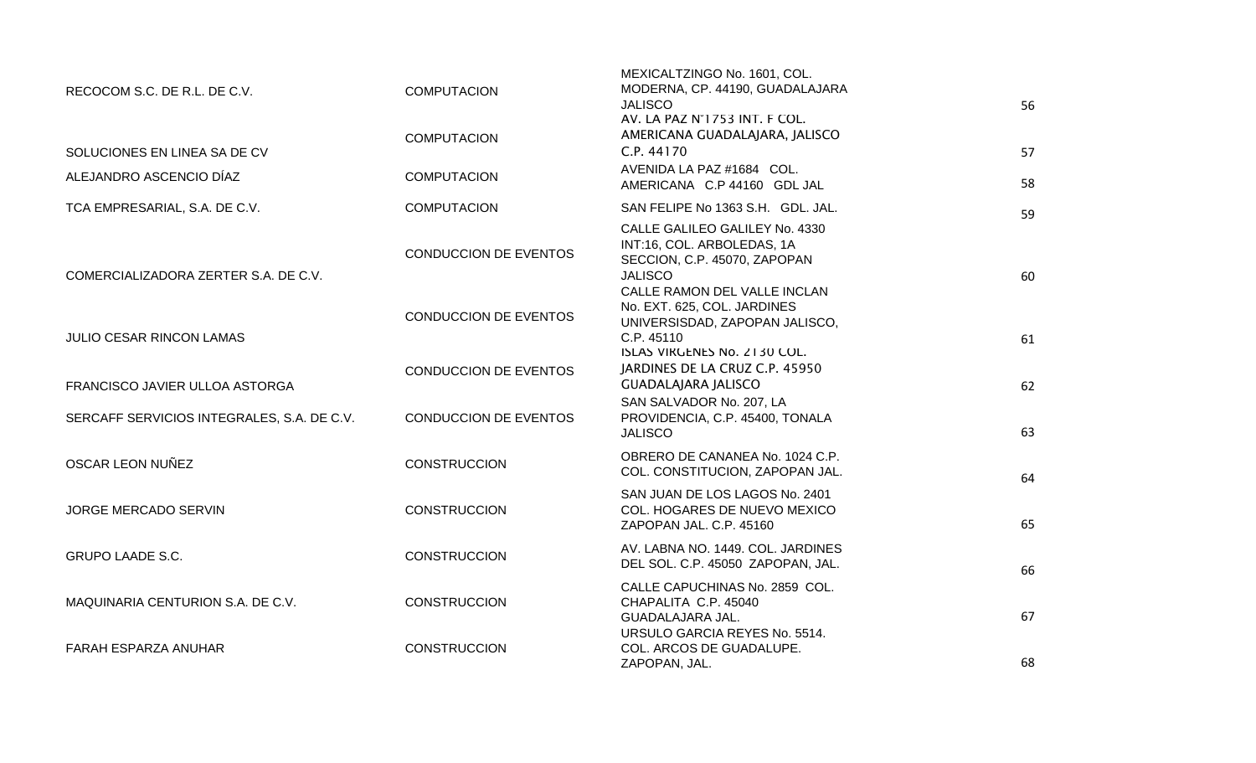| RECOCOM S.C. DE R.L. DE C.V.               | <b>COMPUTACION</b>           | MEXICALTZINGO No. 1601, COL.<br>MODERNA, CP. 44190, GUADALAJARA<br><b>JALISCO</b>                                                              | 56 |
|--------------------------------------------|------------------------------|------------------------------------------------------------------------------------------------------------------------------------------------|----|
| SOLUCIONES EN LINEA SA DE CV               | <b>COMPUTACION</b>           | AV. LA PAZ N°1753 IN1. F COL.<br>AMERICANA GUADALAJARA, JALISCO<br>C.P. 44170                                                                  | 57 |
| ALEJANDRO ASCENCIO DÍAZ                    | <b>COMPUTACION</b>           | AVENIDA LA PAZ #1684 COL.<br>AMERICANA C.P 44160 GDL JAL                                                                                       | 58 |
| TCA EMPRESARIAL, S.A. DE C.V.              | <b>COMPUTACION</b>           | SAN FELIPE No 1363 S.H. GDL. JAL.                                                                                                              | 59 |
| COMERCIALIZADORA ZERTER S.A. DE C.V.       | CONDUCCION DE EVENTOS        | CALLE GALILEO GALILEY No. 4330<br>INT:16, COL. ARBOLEDAS, 1A<br>SECCION, C.P. 45070, ZAPOPAN<br><b>JALISCO</b><br>CALLE RAMON DEL VALLE INCLAN | 60 |
| <b>JULIO CESAR RINCON LAMAS</b>            | <b>CONDUCCION DE EVENTOS</b> | No. EXT. 625, COL. JARDINES<br>UNIVERSISDAD, ZAPOPAN JALISCO,<br>C.P. 45110                                                                    | 61 |
| FRANCISCO JAVIER ULLOA ASTORGA             | <b>CONDUCCION DE EVENTOS</b> | ISLAS VIRGENES No. 2130 COL.<br>JARDINES DE LA CRUZ C.P. 45950<br><b>GUADALAJARA JALISCO</b><br>SAN SALVADOR No. 207, LA                       | 62 |
| SERCAFF SERVICIOS INTEGRALES, S.A. DE C.V. | <b>CONDUCCION DE EVENTOS</b> | PROVIDENCIA, C.P. 45400, TONALA<br><b>JALISCO</b>                                                                                              | 63 |
| OSCAR LEON NUÑEZ                           | <b>CONSTRUCCION</b>          | OBRERO DE CANANEA No. 1024 C.P.<br>COL. CONSTITUCION, ZAPOPAN JAL.                                                                             | 64 |
| <b>JORGE MERCADO SERVIN</b>                | <b>CONSTRUCCION</b>          | SAN JUAN DE LOS LAGOS No. 2401<br>COL. HOGARES DE NUEVO MEXICO<br>ZAPOPAN JAL. C.P. 45160                                                      | 65 |
| <b>GRUPO LAADE S.C.</b>                    | <b>CONSTRUCCION</b>          | AV. LABNA NO. 1449. COL. JARDINES<br>DEL SOL. C.P. 45050 ZAPOPAN, JAL.                                                                         | 66 |
| MAQUINARIA CENTURION S.A. DE C.V.          | <b>CONSTRUCCION</b>          | CALLE CAPUCHINAS No. 2859 COL.<br>CHAPALITA C.P. 45040<br>GUADALAJARA JAL.                                                                     | 67 |
| FARAH ESPARZA ANUHAR                       | <b>CONSTRUCCION</b>          | URSULO GARCIA REYES No. 5514.<br>COL. ARCOS DE GUADALUPE.<br>ZAPOPAN, JAL.                                                                     | 68 |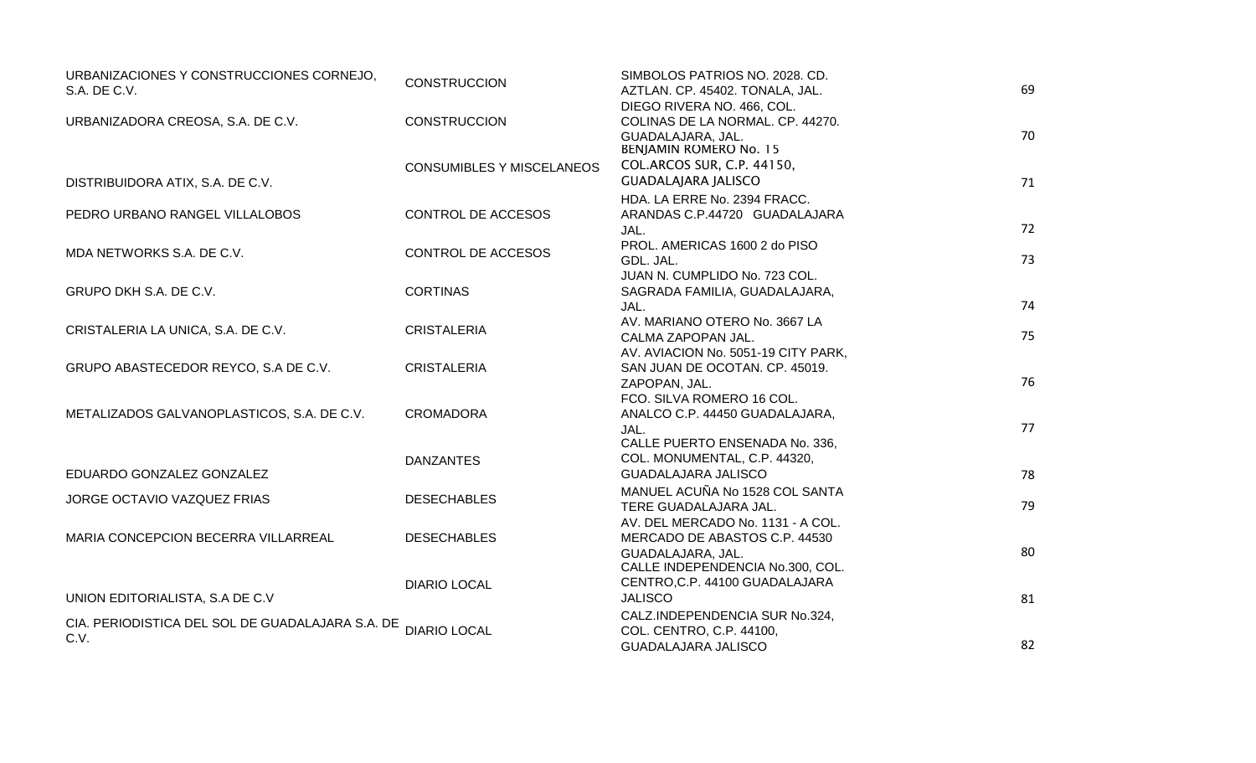| URBANIZACIONES Y CONSTRUCCIONES CORNEJO,         | <b>CONSTRUCCION</b>              | SIMBOLOS PATRIOS NO. 2028. CD.                     |    |
|--------------------------------------------------|----------------------------------|----------------------------------------------------|----|
| S.A. DE C.V.                                     |                                  | AZTLAN. CP. 45402. TONALA, JAL.                    | 69 |
|                                                  |                                  | DIEGO RIVERA NO. 466, COL.                         |    |
| URBANIZADORA CREOSA, S.A. DE C.V.                | <b>CONSTRUCCION</b>              | COLINAS DE LA NORMAL. CP. 44270.                   |    |
|                                                  |                                  | GUADALAJARA, JAL.<br><b>BENJAMIN ROMERO No. 15</b> | 70 |
|                                                  | <b>CONSUMIBLES Y MISCELANEOS</b> | COL.ARCOS SUR, C.P. 44150,                         |    |
| DISTRIBUIDORA ATIX, S.A. DE C.V.                 |                                  | <b>GUADALAJARA JALISCO</b>                         | 71 |
|                                                  |                                  | HDA. LA ERRE No. 2394 FRACC.                       |    |
| PEDRO URBANO RANGEL VILLALOBOS                   | CONTROL DE ACCESOS               | ARANDAS C.P.44720 GUADALAJARA                      |    |
|                                                  |                                  | JAL.                                               | 72 |
|                                                  |                                  | PROL. AMERICAS 1600 2 do PISO                      |    |
| MDA NETWORKS S.A. DE C.V.                        | CONTROL DE ACCESOS               | GDL. JAL.                                          | 73 |
|                                                  |                                  | JUAN N. CUMPLIDO No. 723 COL.                      |    |
| GRUPO DKH S.A. DE C.V.                           | <b>CORTINAS</b>                  | SAGRADA FAMILIA, GUADALAJARA,                      |    |
|                                                  |                                  | JAL.                                               | 74 |
|                                                  |                                  | AV. MARIANO OTERO No. 3667 LA                      |    |
| CRISTALERIA LA UNICA, S.A. DE C.V.               | <b>CRISTALERIA</b>               | CALMA ZAPOPAN JAL.                                 | 75 |
|                                                  |                                  | AV. AVIACION No. 5051-19 CITY PARK,                |    |
| GRUPO ABASTECEDOR REYCO, S.A DE C.V.             | <b>CRISTALERIA</b>               | SAN JUAN DE OCOTAN. CP. 45019.                     |    |
|                                                  |                                  | ZAPOPAN, JAL.                                      | 76 |
|                                                  |                                  | FCO. SILVA ROMERO 16 COL.                          |    |
| METALIZADOS GALVANOPLASTICOS, S.A. DE C.V.       | <b>CROMADORA</b>                 | ANALCO C.P. 44450 GUADALAJARA,                     |    |
|                                                  |                                  | JAL.                                               | 77 |
|                                                  |                                  | CALLE PUERTO ENSENADA No. 336,                     |    |
|                                                  | <b>DANZANTES</b>                 | COL. MONUMENTAL, C.P. 44320,                       |    |
| EDUARDO GONZALEZ GONZALEZ                        |                                  | <b>GUADALAJARA JALISCO</b>                         | 78 |
| JORGE OCTAVIO VAZQUEZ FRIAS                      | <b>DESECHABLES</b>               | MANUEL ACUÑA No 1528 COL SANTA                     |    |
|                                                  |                                  | TERE GUADALAJARA JAL.                              | 79 |
|                                                  |                                  | AV. DEL MERCADO No. 1131 - A COL.                  |    |
| MARIA CONCEPCION BECERRA VILLARREAL              | <b>DESECHABLES</b>               | MERCADO DE ABASTOS C.P. 44530                      |    |
|                                                  |                                  | GUADALAJARA, JAL.                                  | 80 |
|                                                  |                                  | CALLE INDEPENDENCIA No.300, COL.                   |    |
| UNION EDITORIALISTA, S.A DE C.V                  | <b>DIARIO LOCAL</b>              | CENTRO, C.P. 44100 GUADALAJARA<br><b>JALISCO</b>   | 81 |
|                                                  |                                  |                                                    |    |
| CIA. PERIODISTICA DEL SOL DE GUADALAJARA S.A. DE | <b>DIARIO LOCAL</b>              | CALZ.INDEPENDENCIA SUR No.324,                     |    |
| C.V.                                             |                                  | COL. CENTRO, C.P. 44100,<br>GUADALAJARA JALISCO    | 82 |
|                                                  |                                  |                                                    |    |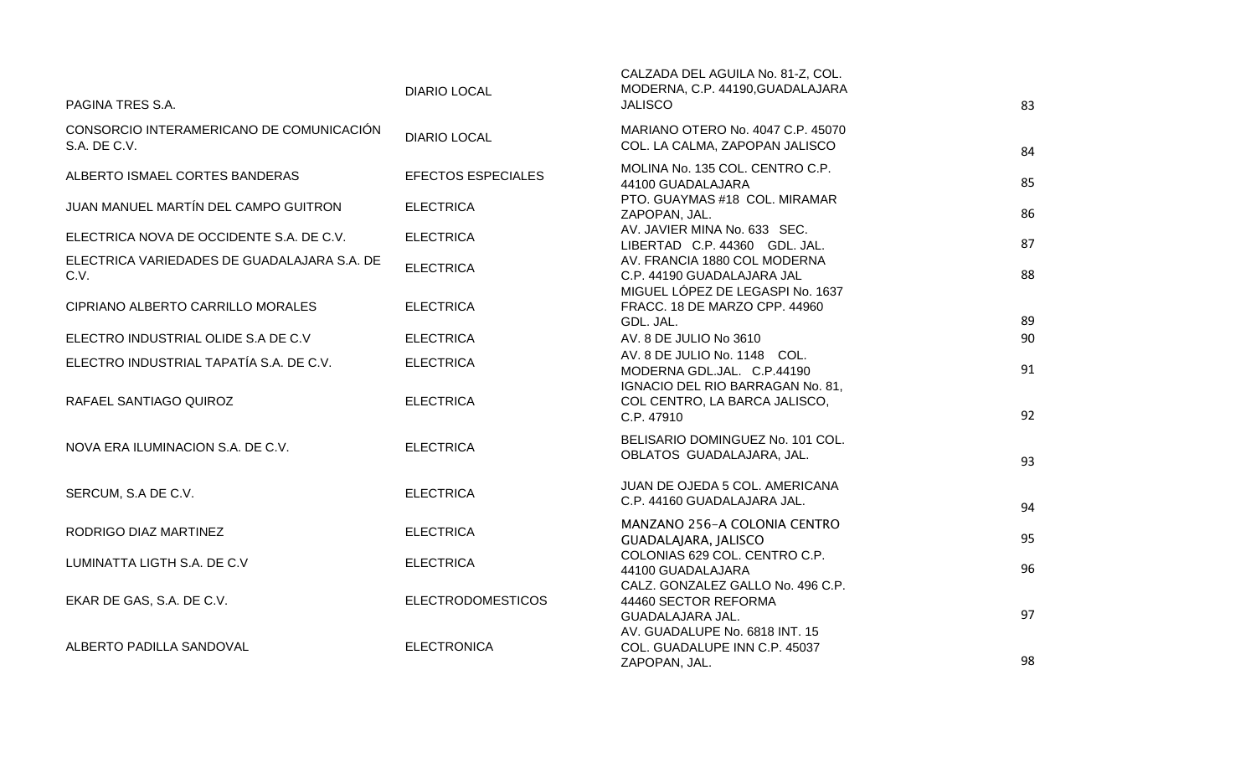| PAGINA TRES S.A.                                         | <b>DIARIO LOCAL</b>       | CALZADA DEL AGUILA No. 81-Z, COL.<br>MODERNA, C.P. 44190, GUADALAJARA<br><b>JALISCO</b>        | 83 |
|----------------------------------------------------------|---------------------------|------------------------------------------------------------------------------------------------|----|
| CONSORCIO INTERAMERICANO DE COMUNICACIÓN<br>S.A. DE C.V. | <b>DIARIO LOCAL</b>       | MARIANO OTERO No. 4047 C.P. 45070<br>COL. LA CALMA, ZAPOPAN JALISCO                            | 84 |
| ALBERTO ISMAEL CORTES BANDERAS                           | <b>EFECTOS ESPECIALES</b> | MOLINA No. 135 COL. CENTRO C.P.<br>44100 GUADALAJARA                                           | 85 |
| JUAN MANUEL MARTÍN DEL CAMPO GUITRON                     | <b>ELECTRICA</b>          | PTO. GUAYMAS #18 COL. MIRAMAR<br>ZAPOPAN, JAL.                                                 | 86 |
| ELECTRICA NOVA DE OCCIDENTE S.A. DE C.V.                 | <b>ELECTRICA</b>          | AV. JAVIER MINA No. 633 SEC.<br>LIBERTAD C.P. 44360 GDL. JAL.                                  | 87 |
| ELECTRICA VARIEDADES DE GUADALAJARA S.A. DE<br>C.V.      | <b>ELECTRICA</b>          | AV. FRANCIA 1880 COL MODERNA<br>C.P. 44190 GUADALAJARA JAL<br>MIGUEL LÓPEZ DE LEGASPI No. 1637 | 88 |
| CIPRIANO ALBERTO CARRILLO MORALES                        | <b>ELECTRICA</b>          | FRACC. 18 DE MARZO CPP. 44960<br>GDL. JAL.                                                     | 89 |
| ELECTRO INDUSTRIAL OLIDE S.A DE C.V                      | <b>ELECTRICA</b>          | AV. 8 DE JULIO No 3610                                                                         | 90 |
| ELECTRO INDUSTRIAL TAPATÍA S.A. DE C.V.                  | <b>ELECTRICA</b>          | AV. 8 DE JULIO No. 1148 COL.<br>MODERNA GDL.JAL. C.P.44190                                     | 91 |
| RAFAEL SANTIAGO QUIROZ                                   | <b>ELECTRICA</b>          | IGNACIO DEL RIO BARRAGAN No. 81,<br>COL CENTRO, LA BARCA JALISCO,<br>C.P. 47910                | 92 |
| NOVA ERA ILUMINACION S.A. DE C.V.                        | <b>ELECTRICA</b>          | BELISARIO DOMINGUEZ No. 101 COL.<br>OBLATOS GUADALAJARA, JAL.                                  | 93 |
| SERCUM, S.A DE C.V.                                      | <b>ELECTRICA</b>          | JUAN DE OJEDA 5 COL. AMERICANA<br>C.P. 44160 GUADALAJARA JAL.                                  | 94 |
| RODRIGO DIAZ MARTINEZ                                    | <b>ELECTRICA</b>          | MANZANO 256-A COLONIA CENTRO<br>GUADALAJARA, JALISCO                                           | 95 |
| LUMINATTA LIGTH S.A. DE C.V                              | <b>ELECTRICA</b>          | COLONIAS 629 COL. CENTRO C.P.<br>44100 GUADALAJARA                                             | 96 |
| EKAR DE GAS, S.A. DE C.V.                                | <b>ELECTRODOMESTICOS</b>  | CALZ. GONZALEZ GALLO No. 496 C.P.<br>44460 SECTOR REFORMA<br>GUADALAJARA JAL.                  | 97 |
| ALBERTO PADILLA SANDOVAL                                 | <b>ELECTRONICA</b>        | AV. GUADALUPE No. 6818 INT. 15<br>COL. GUADALUPE INN C.P. 45037<br>ZAPOPAN, JAL.               | 98 |
|                                                          |                           |                                                                                                |    |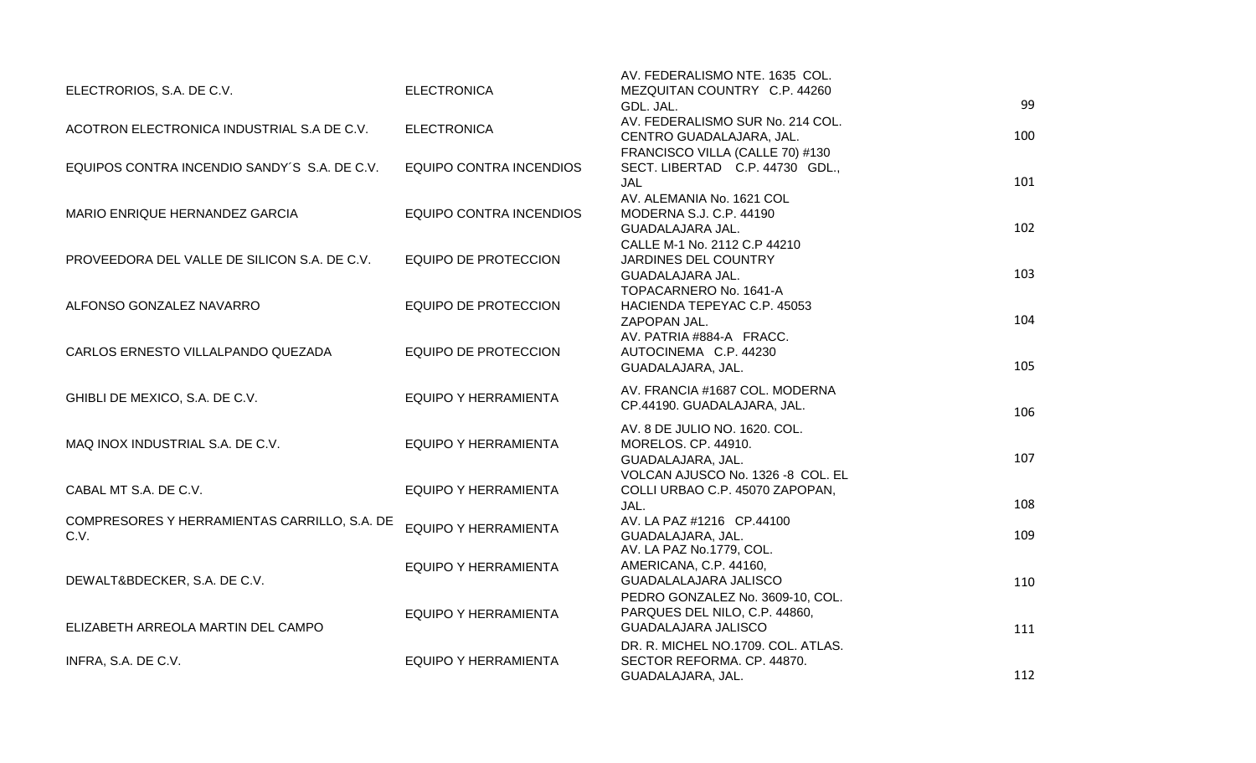|                                              |                                | AV. FEDERALISMO NTE. 1635 COL.                         |     |
|----------------------------------------------|--------------------------------|--------------------------------------------------------|-----|
| ELECTRORIOS, S.A. DE C.V.                    | <b>ELECTRONICA</b>             | MEZQUITAN COUNTRY C.P. 44260<br>GDL. JAL.              | 99  |
|                                              |                                | AV. FEDERALISMO SUR No. 214 COL.                       |     |
| ACOTRON ELECTRONICA INDUSTRIAL S.A DE C.V.   | <b>ELECTRONICA</b>             | CENTRO GUADALAJARA, JAL.                               | 100 |
|                                              |                                | FRANCISCO VILLA (CALLE 70) #130                        |     |
| EQUIPOS CONTRA INCENDIO SANDY'S S.A. DE C.V. | <b>EQUIPO CONTRA INCENDIOS</b> | SECT. LIBERTAD C.P. 44730 GDL.,                        |     |
|                                              |                                | JAL                                                    | 101 |
|                                              |                                | AV. ALEMANIA No. 1621 COL                              |     |
| MARIO ENRIQUE HERNANDEZ GARCIA               | EQUIPO CONTRA INCENDIOS        | MODERNA S.J. C.P. 44190                                |     |
|                                              |                                | GUADALAJARA JAL.                                       | 102 |
|                                              |                                | CALLE M-1 No. 2112 C.P 44210                           |     |
| PROVEEDORA DEL VALLE DE SILICON S.A. DE C.V. | <b>EQUIPO DE PROTECCION</b>    | <b>JARDINES DEL COUNTRY</b>                            |     |
|                                              |                                | GUADALAJARA JAL.                                       | 103 |
|                                              |                                | TOPACARNERO No. 1641-A                                 |     |
| ALFONSO GONZALEZ NAVARRO                     | <b>EQUIPO DE PROTECCION</b>    | HACIENDA TEPEYAC C.P. 45053                            |     |
|                                              |                                | ZAPOPAN JAL.                                           | 104 |
|                                              |                                | AV. PATRIA #884-A FRACC.                               |     |
| CARLOS ERNESTO VILLALPANDO QUEZADA           | <b>EQUIPO DE PROTECCION</b>    | AUTOCINEMA C.P. 44230                                  |     |
|                                              |                                | GUADALAJARA, JAL.                                      | 105 |
|                                              |                                | AV. FRANCIA #1687 COL. MODERNA                         |     |
| GHIBLI DE MEXICO, S.A. DE C.V.               | <b>EQUIPO Y HERRAMIENTA</b>    | CP.44190. GUADALAJARA, JAL.                            |     |
|                                              |                                |                                                        | 106 |
|                                              |                                | AV. 8 DE JULIO NO. 1620. COL.                          |     |
| MAQ INOX INDUSTRIAL S.A. DE C.V.             | <b>EQUIPO Y HERRAMIENTA</b>    | MORELOS. CP. 44910.                                    | 107 |
|                                              |                                | GUADALAJARA, JAL.<br>VOLCAN AJUSCO No. 1326 -8 COL. EL |     |
| CABAL MT S.A. DE C.V.                        | <b>EQUIPO Y HERRAMIENTA</b>    |                                                        |     |
|                                              |                                | COLLI URBAO C.P. 45070 ZAPOPAN,<br>JAL.                | 108 |
| COMPRESORES Y HERRAMIENTAS CARRILLO, S.A. DE |                                | AV. LA PAZ #1216 CP.44100                              |     |
| C.V.                                         | EQUIPO Y HERRAMIENTA           | GUADALAJARA, JAL.                                      | 109 |
|                                              |                                | AV. LA PAZ No.1779, COL.                               |     |
|                                              | <b>EQUIPO Y HERRAMIENTA</b>    | AMERICANA, C.P. 44160,                                 |     |
| DEWALT&BDECKER, S.A. DE C.V.                 |                                | GUADALALAJARA JALISCO                                  | 110 |
|                                              |                                | PEDRO GONZALEZ No. 3609-10, COL.                       |     |
|                                              | <b>EQUIPO Y HERRAMIENTA</b>    | PARQUES DEL NILO, C.P. 44860,                          |     |
| ELIZABETH ARREOLA MARTIN DEL CAMPO           |                                | <b>GUADALAJARA JALISCO</b>                             | 111 |
|                                              |                                | DR. R. MICHEL NO.1709. COL. ATLAS.                     |     |
| INFRA, S.A. DE C.V.                          | <b>EQUIPO Y HERRAMIENTA</b>    | SECTOR REFORMA. CP. 44870.                             |     |
|                                              |                                | GUADALAJARA, JAL.                                      | 112 |
|                                              |                                |                                                        |     |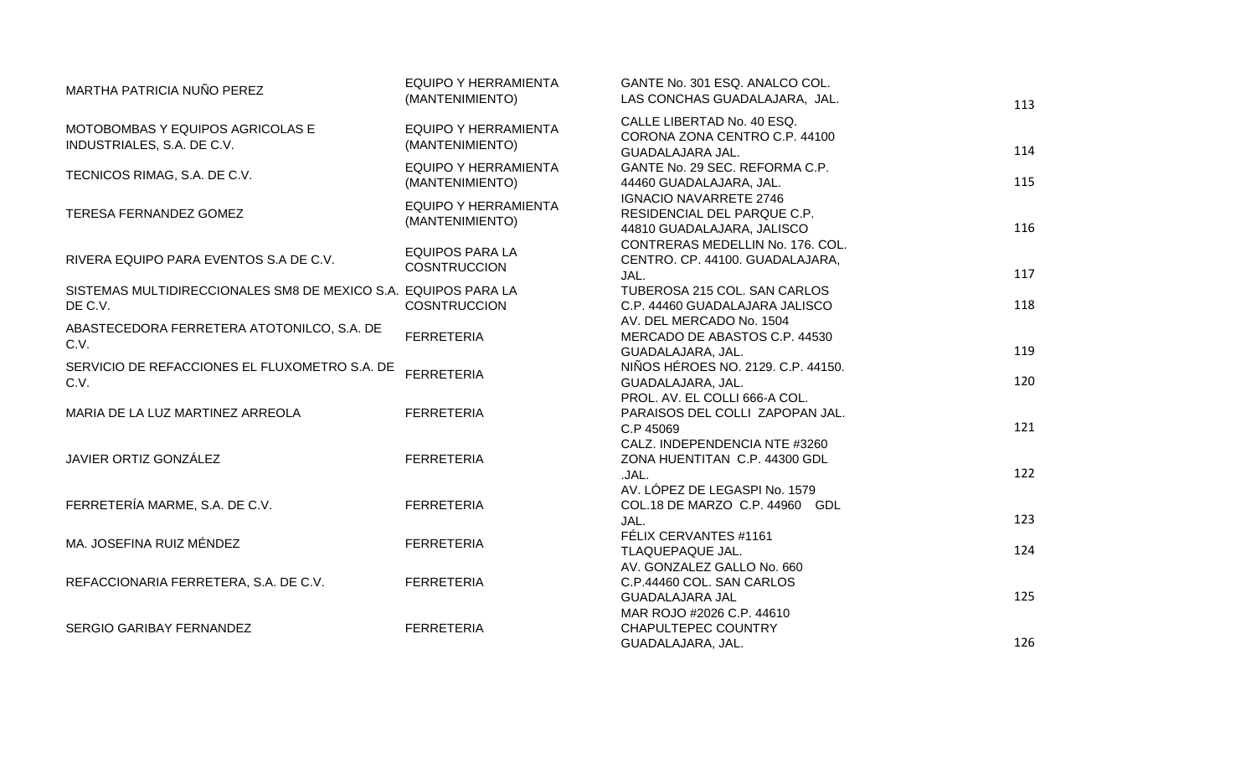| MARTHA PATRICIA NUÑO PEREZ                                                | <b>EQUIPO Y HERRAMIENTA</b><br>(MANTENIMIENTO) | GANTE No. 301 ESQ. ANALCO COL.<br>LAS CONCHAS GUADALAJARA, JAL.                            | 113        |
|---------------------------------------------------------------------------|------------------------------------------------|--------------------------------------------------------------------------------------------|------------|
| MOTOBOMBAS Y EQUIPOS AGRICOLAS E<br>INDUSTRIALES, S.A. DE C.V.            | <b>EQUIPO Y HERRAMIENTA</b><br>(MANTENIMIENTO) | CALLE LIBERTAD No. 40 ESQ.<br>CORONA ZONA CENTRO C.P. 44100<br>GUADALAJARA JAL.            | 114        |
| TECNICOS RIMAG, S.A. DE C.V.                                              | <b>EQUIPO Y HERRAMIENTA</b><br>(MANTENIMIENTO) | GANTE No. 29 SEC. REFORMA C.P.<br>44460 GUADALAJARA, JAL.                                  | 115        |
| TERESA FERNANDEZ GOMEZ                                                    | <b>EQUIPO Y HERRAMIENTA</b><br>(MANTENIMIENTO) | <b>IGNACIO NAVARRETE 2746</b><br>RESIDENCIAL DEL PARQUE C.P.<br>44810 GUADALAJARA, JALISCO | 116        |
| RIVERA EQUIPO PARA EVENTOS S.A DE C.V.                                    | <b>EQUIPOS PARA LA</b><br><b>COSNTRUCCION</b>  | CONTRERAS MEDELLIN No. 176. COL.<br>CENTRO. CP. 44100. GUADALAJARA,<br>JAL.                | 117        |
| SISTEMAS MULTIDIRECCIONALES SM8 DE MEXICO S.A. EQUIPOS PARA LA<br>DE C.V. | <b>COSNTRUCCION</b>                            | TUBEROSA 215 COL. SAN CARLOS<br>C.P. 44460 GUADALAJARA JALISCO                             | 118        |
| ABASTECEDORA FERRETERA ATOTONILCO, S.A. DE<br>C.V.                        | <b>FERRETERIA</b>                              | AV. DEL MERCADO No. 1504<br>MERCADO DE ABASTOS C.P. 44530<br>GUADALAJARA, JAL.             | 119        |
| SERVICIO DE REFACCIONES EL FLUXOMETRO S.A. DE<br>C.V.                     | <b>FERRETERIA</b>                              | NIÑOS HÉROES NO. 2129. C.P. 44150.<br>GUADALAJARA, JAL.                                    | 120        |
| MARIA DE LA LUZ MARTINEZ ARREOLA                                          | <b>FERRETERIA</b>                              | PROL. AV. EL COLLI 666-A COL.<br>PARAISOS DEL COLLI ZAPOPAN JAL.<br>C.P 45069              | 121        |
| JAVIER ORTIZ GONZÁLEZ                                                     | <b>FERRETERIA</b>                              | CALZ. INDEPENDENCIA NTE #3260<br>ZONA HUENTITAN C.P. 44300 GDL<br>.JAL.                    | 122        |
| FERRETERÍA MARME, S.A. DE C.V.                                            | <b>FERRETERIA</b>                              | AV. LÓPEZ DE LEGASPI No. 1579<br>COL.18 DE MARZO C.P. 44960 GDL                            |            |
| MA. JOSEFINA RUIZ MÉNDEZ                                                  | <b>FERRETERIA</b>                              | JAL.<br>FÉLIX CERVANTES #1161<br>TLAQUEPAQUE JAL.                                          | 123<br>124 |
| REFACCIONARIA FERRETERA, S.A. DE C.V.                                     | <b>FERRETERIA</b>                              | AV. GONZALEZ GALLO No. 660<br>C.P.44460 COL. SAN CARLOS                                    |            |
| SERGIO GARIBAY FERNANDEZ                                                  | <b>FERRETERIA</b>                              | <b>GUADALAJARA JAL</b><br>MAR ROJO #2026 C.P. 44610<br>CHAPULTEPEC COUNTRY                 | 125        |
|                                                                           |                                                | GUADALAJARA, JAL.                                                                          | 126        |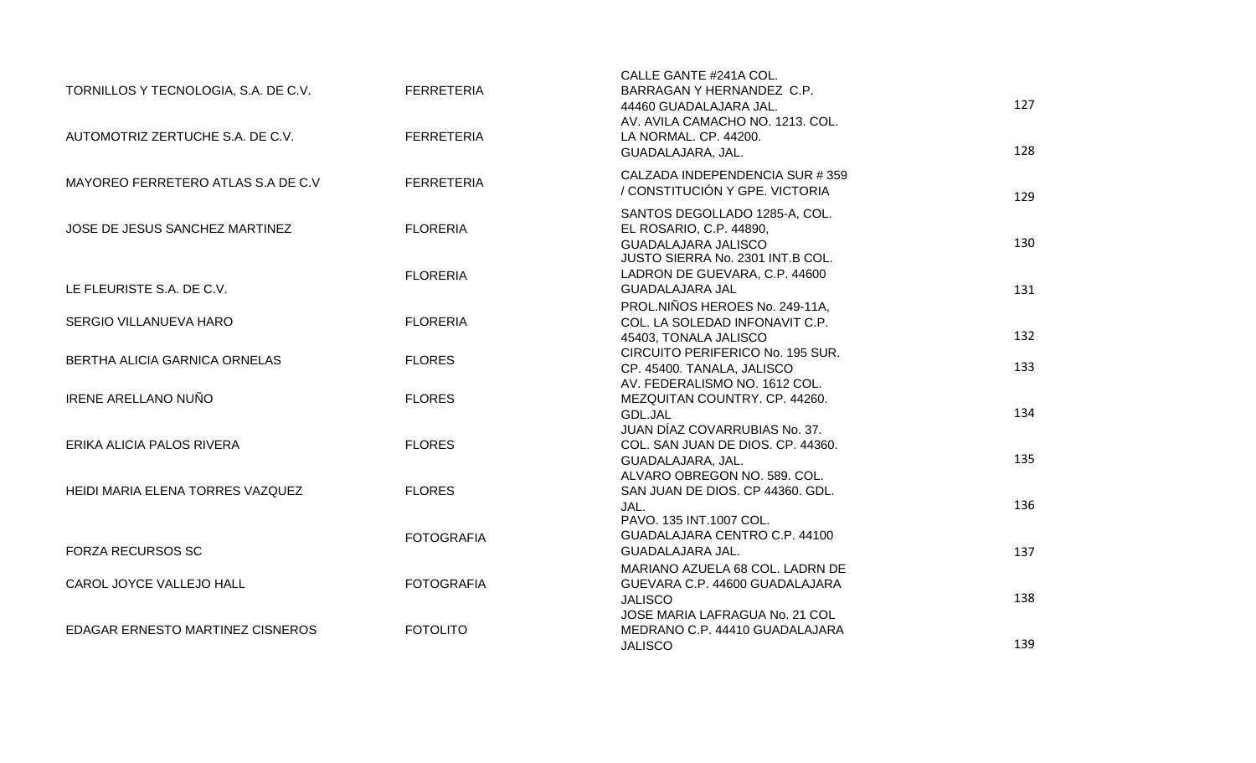| TORNILLOS Y TECNOLOGIA, S.A. DE C.V.<br>AUTOMOTRIZ ZERTUCHE S.A. DE C.V. | <b>FERRETERIA</b><br><b>FERRETERIA</b> | CALLE GANTE #241A COL.<br>BARRAGAN Y HERNANDEZ C.P.<br>44460 GUADALAJARA JAL.<br>AV. AVILA CAMACHO NO. 1213. COL.<br>LA NORMAL. CP. 44200.<br>GUADALAJARA, JAL. | 127<br>128 |
|--------------------------------------------------------------------------|----------------------------------------|-----------------------------------------------------------------------------------------------------------------------------------------------------------------|------------|
| MAYOREO FERRETERO ATLAS S.A DE C.V                                       | <b>FERRETERIA</b>                      | CALZADA INDEPENDENCIA SUR #359<br>/ CONSTITUCIÓN Y GPE. VICTORIA                                                                                                | 129        |
| JOSE DE JESUS SANCHEZ MARTINEZ                                           | <b>FLORERIA</b>                        | SANTOS DEGOLLADO 1285-A, COL.<br>EL ROSARIO, C.P. 44890,<br>GUADALAJARA JALISCO<br>JUSTO SIERRA No. 2301 INT.B COL.                                             | 130        |
| LE FLEURISTE S.A. DE C.V.                                                | <b>FLORERIA</b>                        | LADRON DE GUEVARA, C.P. 44600<br><b>GUADALAJARA JAL</b>                                                                                                         | 131        |
| SERGIO VILLANUEVA HARO                                                   | <b>FLORERIA</b>                        | PROL.NIÑOS HEROES No. 249-11A,<br>COL. LA SOLEDAD INFONAVIT C.P.<br>45403, TONALA JALISCO                                                                       | 132        |
| BERTHA ALICIA GARNICA ORNELAS                                            | <b>FLORES</b>                          | CIRCUITO PERIFERICO No. 195 SUR.<br>CP. 45400. TANALA, JALISCO                                                                                                  | 133        |
| <b>IRENE ARELLANO NUÑO</b>                                               | <b>FLORES</b>                          | AV. FEDERALISMO NO. 1612 COL.<br>MEZQUITAN COUNTRY. CP. 44260.<br>GDL.JAL                                                                                       | 134        |
| ERIKA ALICIA PALOS RIVERA                                                | <b>FLORES</b>                          | JUAN DÍAZ COVARRUBIAS No. 37.<br>COL. SAN JUAN DE DIOS. CP. 44360.<br>GUADALAJARA, JAL.                                                                         | 135        |
| HEIDI MARIA ELENA TORRES VAZQUEZ                                         | <b>FLORES</b>                          | ALVARO OBREGON NO. 589. COL.<br>SAN JUAN DE DIOS. CP 44360. GDL.<br>JAL.                                                                                        | 136        |
| <b>FORZA RECURSOS SC</b>                                                 | <b>FOTOGRAFIA</b>                      | PAVO. 135 INT.1007 COL.<br>GUADALAJARA CENTRO C.P. 44100<br>GUADALAJARA JAL.                                                                                    | 137        |
| CAROL JOYCE VALLEJO HALL                                                 | <b>FOTOGRAFIA</b>                      | MARIANO AZUELA 68 COL. LADRN DE<br>GUEVARA C.P. 44600 GUADALAJARA                                                                                               |            |
| EDAGAR ERNESTO MARTINEZ CISNEROS                                         | <b>FOTOLITO</b>                        | <b>JALISCO</b><br>JOSE MARIA LAFRAGUA No. 21 COL<br>MEDRANO C.P. 44410 GUADALAJARA                                                                              | 138        |
|                                                                          |                                        | <b>JALISCO</b>                                                                                                                                                  | 139        |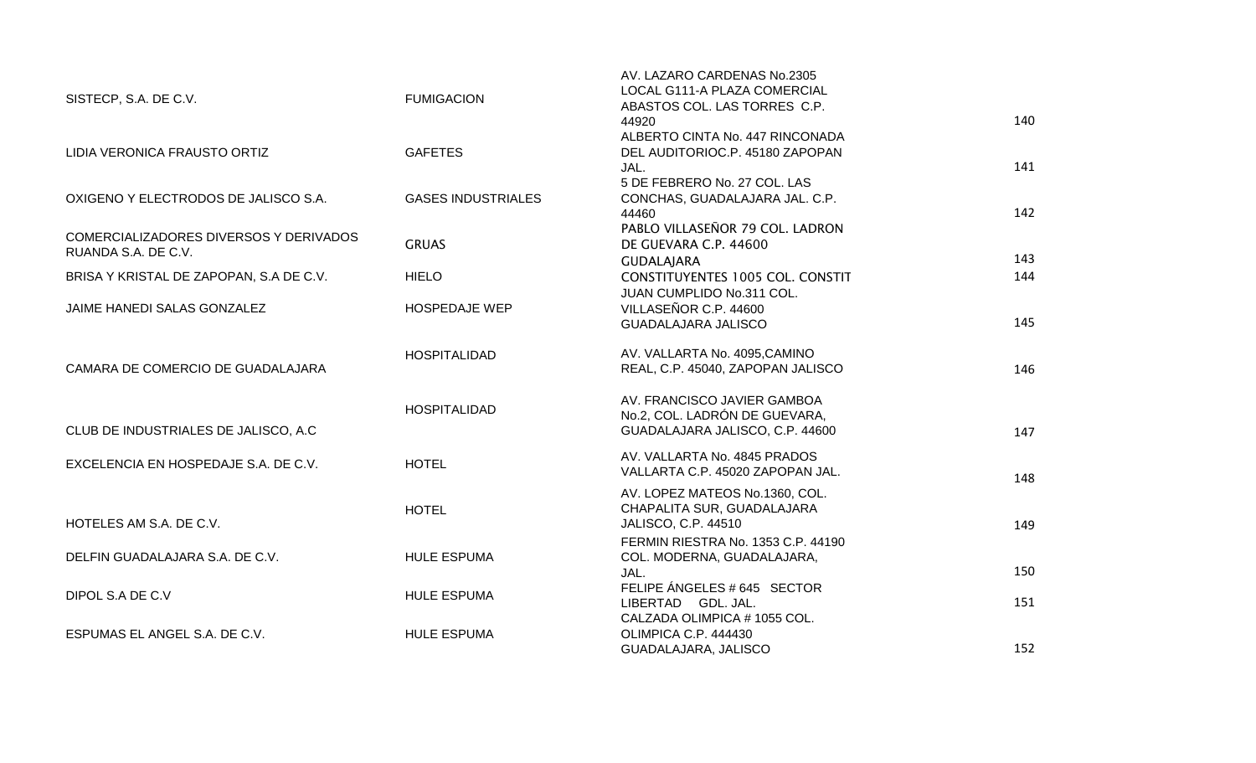| SISTECP, S.A. DE C.V.                                         | <b>FUMIGACION</b>         | AV. LAZARO CARDENAS No.2305<br>LOCAL G111-A PLAZA COMERCIAL<br>ABASTOS COL. LAS TORRES C.P.<br>44920 | 140 |
|---------------------------------------------------------------|---------------------------|------------------------------------------------------------------------------------------------------|-----|
| LIDIA VERONICA FRAUSTO ORTIZ                                  | <b>GAFETES</b>            | ALBERTO CINTA No. 447 RINCONADA<br>DEL AUDITORIOC.P. 45180 ZAPOPAN<br>JAL.                           | 141 |
| OXIGENO Y ELECTRODOS DE JALISCO S.A.                          | <b>GASES INDUSTRIALES</b> | 5 DE FEBRERO No. 27 COL. LAS<br>CONCHAS, GUADALAJARA JAL. C.P.<br>44460                              | 142 |
| COMERCIALIZADORES DIVERSOS Y DERIVADOS<br>RUANDA S.A. DE C.V. | <b>GRUAS</b>              | PABLO VILLASEÑOR 79 COL. LADRON<br>DE GUEVARA C.P. 44600<br><b>GUDALAJARA</b>                        | 143 |
| BRISA Y KRISTAL DE ZAPOPAN, S.A DE C.V.                       | <b>HIELO</b>              | CONSTITUYENTES 1005 COL. CONSTIT<br>JUAN CUMPLIDO No.311 COL.                                        | 144 |
| JAIME HANEDI SALAS GONZALEZ                                   | <b>HOSPEDAJE WEP</b>      | VILLASEÑOR C.P. 44600<br><b>GUADALAJARA JALISCO</b>                                                  | 145 |
| CAMARA DE COMERCIO DE GUADALAJARA                             | <b>HOSPITALIDAD</b>       | AV. VALLARTA No. 4095, CAMINO<br>REAL, C.P. 45040, ZAPOPAN JALISCO                                   | 146 |
| CLUB DE INDUSTRIALES DE JALISCO, A.C.                         | <b>HOSPITALIDAD</b>       | AV. FRANCISCO JAVIER GAMBOA<br>No.2, COL. LADRÓN DE GUEVARA,<br>GUADALAJARA JALISCO, C.P. 44600      | 147 |
| EXCELENCIA EN HOSPEDAJE S.A. DE C.V.                          | <b>HOTEL</b>              | AV. VALLARTA No. 4845 PRADOS<br>VALLARTA C.P. 45020 ZAPOPAN JAL.                                     | 148 |
| HOTELES AM S.A. DE C.V.                                       | <b>HOTEL</b>              | AV. LOPEZ MATEOS No.1360, COL.<br>CHAPALITA SUR, GUADALAJARA<br>JALISCO, C.P. 44510                  | 149 |
| DELFIN GUADALAJARA S.A. DE C.V.                               | <b>HULE ESPUMA</b>        | FERMIN RIESTRA No. 1353 C.P. 44190<br>COL. MODERNA, GUADALAJARA,<br>JAL.                             | 150 |
| DIPOL S.A DE C.V                                              | <b>HULE ESPUMA</b>        | FELIPE ÁNGELES # 645 SECTOR<br>LIBERTAD GDL. JAL.                                                    | 151 |
| ESPUMAS EL ANGEL S.A. DE C.V.                                 | <b>HULE ESPUMA</b>        | CALZADA OLIMPICA #1055 COL.<br>OLIMPICA C.P. 444430<br>GUADALAJARA, JALISCO                          | 152 |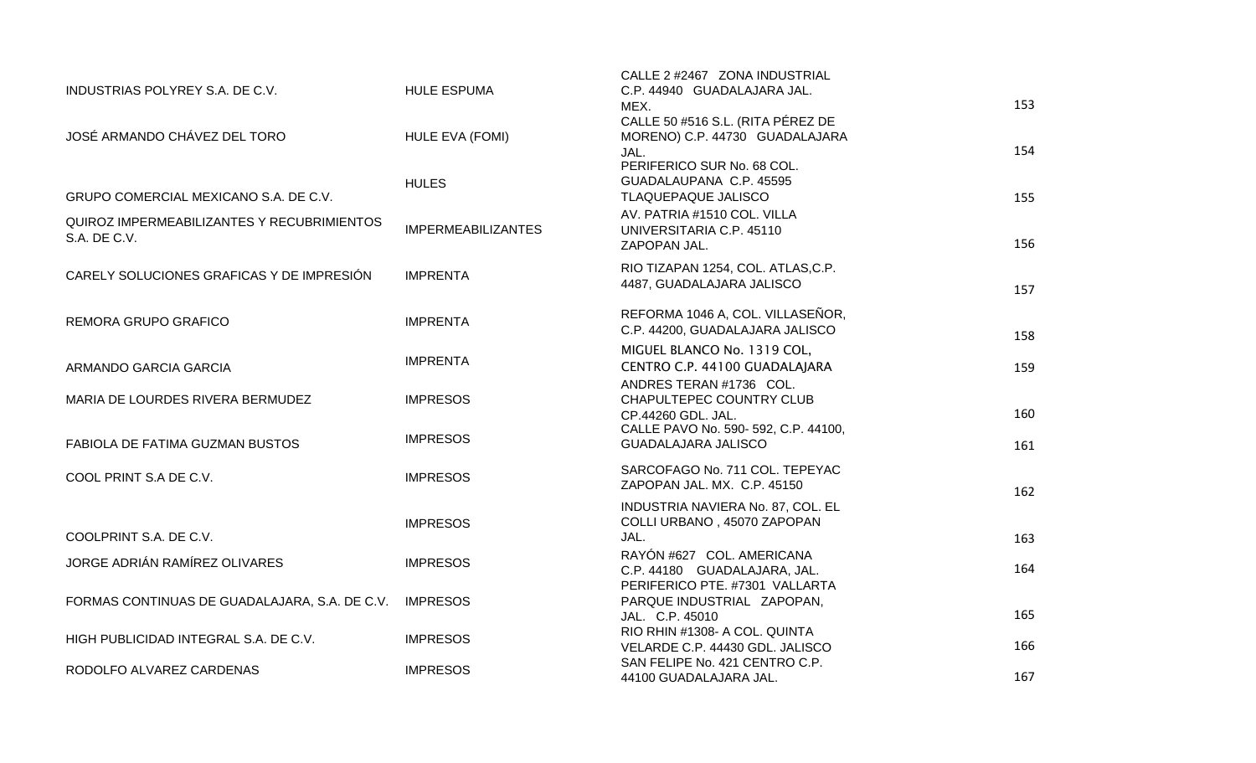| INDUSTRIAS POLYREY S.A. DE C.V.                            | <b>HULE ESPUMA</b>        | CALLE 2 #2467 ZONA INDUSTRIAL<br>C.P. 44940 GUADALAJARA JAL.                    |     |
|------------------------------------------------------------|---------------------------|---------------------------------------------------------------------------------|-----|
|                                                            |                           | MEX.                                                                            | 153 |
| JOSÉ ARMANDO CHÁVEZ DEL TORO                               | HULE EVA (FOMI)           | CALLE 50 #516 S.L. (RITA PÉREZ DE<br>MORENO) C.P. 44730 GUADALAJARA<br>JAL.     | 154 |
| GRUPO COMERCIAL MEXICANO S.A. DE C.V.                      | <b>HULES</b>              | PERIFERICO SUR No. 68 COL.<br>GUADALAUPANA C.P. 45595<br>TLAQUEPAQUE JALISCO    | 155 |
| QUIROZ IMPERMEABILIZANTES Y RECUBRIMIENTOS<br>S.A. DE C.V. | <b>IMPERMEABILIZANTES</b> | AV. PATRIA #1510 COL. VILLA<br>UNIVERSITARIA C.P. 45110<br>ZAPOPAN JAL.         | 156 |
| CARELY SOLUCIONES GRAFICAS Y DE IMPRESIÓN                  | <b>IMPRENTA</b>           | RIO TIZAPAN 1254, COL. ATLAS, C.P.<br>4487, GUADALAJARA JALISCO                 | 157 |
| REMORA GRUPO GRAFICO                                       | <b>IMPRENTA</b>           | REFORMA 1046 A, COL. VILLASEÑOR,<br>C.P. 44200, GUADALAJARA JALISCO             | 158 |
| ARMANDO GARCIA GARCIA                                      | <b>IMPRENTA</b>           | MIGUEL BLANCO No. 1319 COL,<br>CENTRO C.P. 44100 GUADALAJARA                    | 159 |
| MARIA DE LOURDES RIVERA BERMUDEZ                           | <b>IMPRESOS</b>           | ANDRES TERAN #1736 COL.<br>CHAPULTEPEC COUNTRY CLUB<br>CP.44260 GDL. JAL.       | 160 |
| <b>FABIOLA DE FATIMA GUZMAN BUSTOS</b>                     | <b>IMPRESOS</b>           | CALLE PAVO No. 590- 592, C.P. 44100,<br><b>GUADALAJARA JALISCO</b>              | 161 |
| COOL PRINT S.A DE C.V.                                     | <b>IMPRESOS</b>           | SARCOFAGO No. 711 COL. TEPEYAC<br>ZAPOPAN JAL. MX. C.P. 45150                   | 162 |
| COOLPRINT S.A. DE C.V.                                     | <b>IMPRESOS</b>           | INDUSTRIA NAVIERA No. 87, COL. EL<br>COLLI URBANO, 45070 ZAPOPAN<br>JAL.        | 163 |
| JORGE ADRIÁN RAMÍREZ OLIVARES                              | <b>IMPRESOS</b>           | RAYÓN #627 COL. AMERICANA<br>C.P. 44180 GUADALAJARA, JAL.                       | 164 |
| FORMAS CONTINUAS DE GUADALAJARA, S.A. DE C.V.              | <b>IMPRESOS</b>           | PERIFERICO PTE. #7301 VALLARTA<br>PARQUE INDUSTRIAL ZAPOPAN,<br>JAL. C.P. 45010 | 165 |
| HIGH PUBLICIDAD INTEGRAL S.A. DE C.V.                      | <b>IMPRESOS</b>           | RIO RHIN #1308- A COL, QUINTA<br>VELARDE C.P. 44430 GDL. JALISCO                | 166 |
| RODOLFO ALVAREZ CARDENAS                                   | <b>IMPRESOS</b>           | SAN FELIPE No. 421 CENTRO C.P.<br>44100 GUADALAJARA JAL.                        | 167 |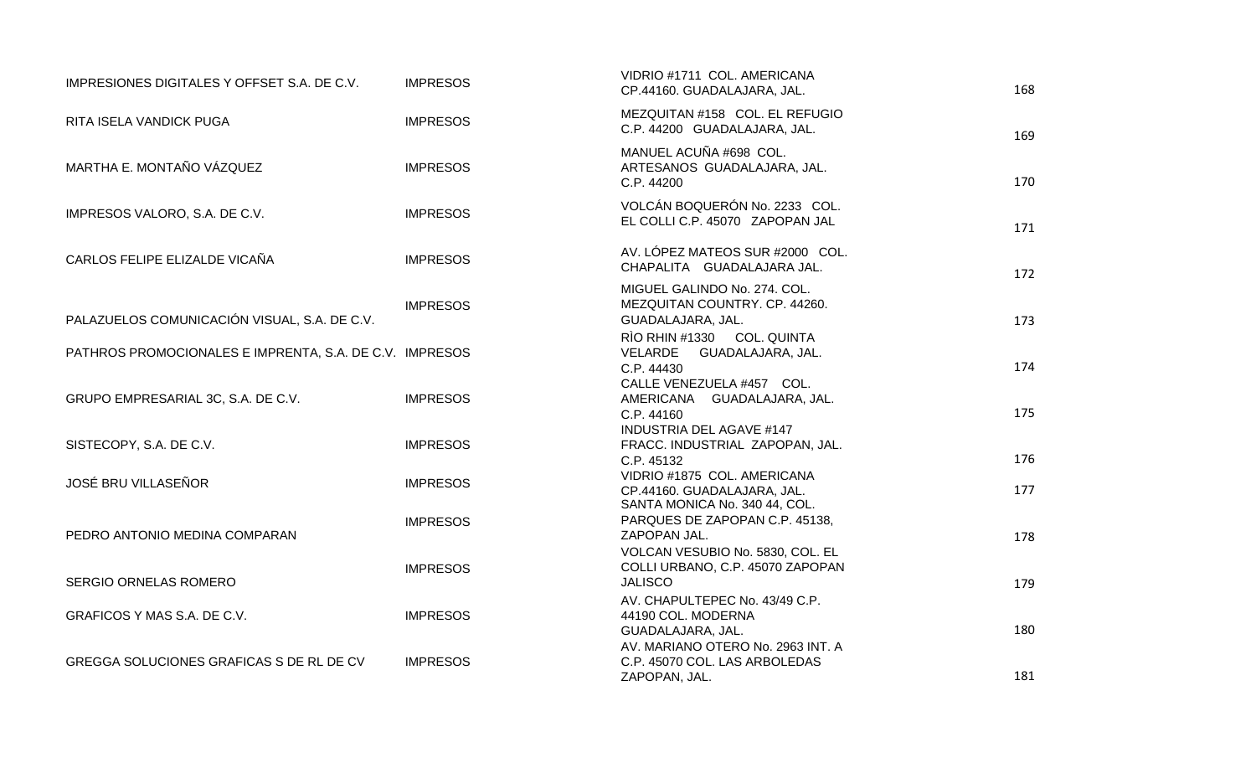| IMPRESIONES DIGITALES Y OFFSET S.A. DE C.V.             | <b>IMPRESOS</b> | VIDRIO #1711 COL. AMERICANA<br>CP.44160. GUADALAJARA, JAL.                                  | 168 |
|---------------------------------------------------------|-----------------|---------------------------------------------------------------------------------------------|-----|
| RITA ISELA VANDICK PUGA                                 | <b>IMPRESOS</b> | MEZQUITAN #158 COL. EL REFUGIO<br>C.P. 44200 GUADALAJARA, JAL.                              | 169 |
| MARTHA E. MONTAÑO VÁZQUEZ                               | <b>IMPRESOS</b> | MANUEL ACUÑA #698 COL.<br>ARTESANOS GUADALAJARA, JAL.<br>C.P. 44200                         | 170 |
| IMPRESOS VALORO, S.A. DE C.V.                           | <b>IMPRESOS</b> | VOLCÁN BOQUERÓN No. 2233 COL.<br>EL COLLI C.P. 45070 ZAPOPAN JAL                            | 171 |
| CARLOS FELIPE ELIZALDE VICAÑA                           | <b>IMPRESOS</b> | AV. LÓPEZ MATEOS SUR #2000 COL.<br>CHAPALITA GUADALAJARA JAL.                               | 172 |
| PALAZUELOS COMUNICACIÓN VISUAL, S.A. DE C.V.            | <b>IMPRESOS</b> | MIGUEL GALINDO No. 274. COL.<br>MEZQUITAN COUNTRY. CP. 44260.<br>GUADALAJARA, JAL.          | 173 |
| PATHROS PROMOCIONALES E IMPRENTA, S.A. DE C.V. IMPRESOS |                 | RÌO RHIN #1330 COL. QUINTA<br>VELARDE GUADALAJARA, JAL.<br>C.P. 44430                       | 174 |
| GRUPO EMPRESARIAL 3C, S.A. DE C.V.                      | <b>IMPRESOS</b> | CALLE VENEZUELA #457 COL.<br>AMERICANA GUADALAJARA, JAL.<br>C.P. 44160                      | 175 |
| SISTECOPY, S.A. DE C.V.                                 | <b>IMPRESOS</b> | <b>INDUSTRIA DEL AGAVE #147</b><br>FRACC. INDUSTRIAL ZAPOPAN, JAL.<br>C.P. 45132            | 176 |
| <b>JOSÉ BRU VILLASEÑOR</b>                              | <b>IMPRESOS</b> | VIDRIO #1875 COL. AMERICANA<br>CP.44160. GUADALAJARA, JAL.<br>SANTA MONICA No. 340 44, COL. | 177 |
| PEDRO ANTONIO MEDINA COMPARAN                           | <b>IMPRESOS</b> | PARQUES DE ZAPOPAN C.P. 45138,<br>ZAPOPAN JAL.                                              | 178 |
| <b>SERGIO ORNELAS ROMERO</b>                            | <b>IMPRESOS</b> | VOLCAN VESUBIO No. 5830, COL. EL<br>COLLI URBANO, C.P. 45070 ZAPOPAN<br><b>JALISCO</b>      | 179 |
| GRAFICOS Y MAS S.A. DE C.V.                             | <b>IMPRESOS</b> | AV. CHAPULTEPEC No. 43/49 C.P.<br>44190 COL. MODERNA<br>GUADALAJARA, JAL.                   | 180 |
| GREGGA SOLUCIONES GRAFICAS S DE RL DE CV                | <b>IMPRESOS</b> | AV. MARIANO OTERO No. 2963 INT. A<br>C.P. 45070 COL. LAS ARBOLEDAS<br>ZAPOPAN, JAL.         | 181 |
|                                                         |                 |                                                                                             |     |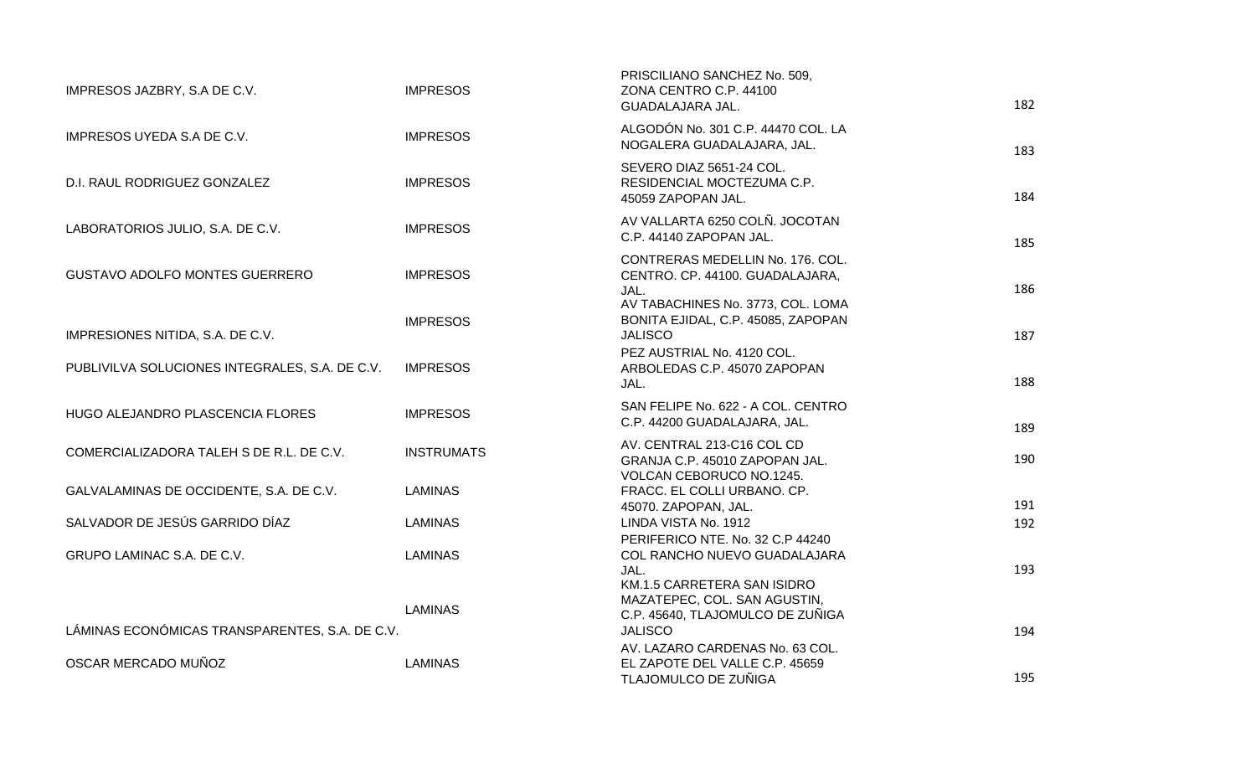| IMPRESOS JAZBRY, S.A DE C.V.                   | <b>IMPRESOS</b>   | PRISCILIANO SANCHEZ No. 509,<br>ZONA CENTRO C.P. 44100<br>GUADALAJARA JAL.                                       | 182 |
|------------------------------------------------|-------------------|------------------------------------------------------------------------------------------------------------------|-----|
| IMPRESOS UYEDA S.A DE C.V.                     | <b>IMPRESOS</b>   | ALGODÓN No. 301 C.P. 44470 COL. LA<br>NOGALERA GUADALAJARA, JAL.                                                 | 183 |
| D.I. RAUL RODRIGUEZ GONZALEZ                   | <b>IMPRESOS</b>   | SEVERO DIAZ 5651-24 COL.<br>RESIDENCIAL MOCTEZUMA C.P.<br>45059 ZAPOPAN JAL.                                     | 184 |
| LABORATORIOS JULIO, S.A. DE C.V.               | <b>IMPRESOS</b>   | AV VALLARTA 6250 COLÑ. JOCOTAN<br>C.P. 44140 ZAPOPAN JAL.                                                        | 185 |
| GUSTAVO ADOLFO MONTES GUERRERO                 | <b>IMPRESOS</b>   | CONTRERAS MEDELLIN No. 176. COL.<br>CENTRO. CP. 44100. GUADALAJARA,<br>JAL.<br>AV TABACHINES No. 3773, COL. LOMA | 186 |
| IMPRESIONES NITIDA, S.A. DE C.V.               | <b>IMPRESOS</b>   | BONITA EJIDAL, C.P. 45085, ZAPOPAN<br><b>JALISCO</b>                                                             | 187 |
| PUBLIVILVA SOLUCIONES INTEGRALES, S.A. DE C.V. | <b>IMPRESOS</b>   | PEZ AUSTRIAL No. 4120 COL.<br>ARBOLEDAS C.P. 45070 ZAPOPAN<br>JAL.                                               | 188 |
| HUGO ALEJANDRO PLASCENCIA FLORES               | <b>IMPRESOS</b>   | SAN FELIPE No. 622 - A COL. CENTRO<br>C.P. 44200 GUADALAJARA, JAL.                                               | 189 |
| COMERCIALIZADORA TALEH S DE R.L. DE C.V.       | <b>INSTRUMATS</b> | AV. CENTRAL 213-C16 COL CD<br>GRANJA C.P. 45010 ZAPOPAN JAL.                                                     | 190 |
| GALVALAMINAS DE OCCIDENTE, S.A. DE C.V.        | <b>LAMINAS</b>    | VOLCAN CEBORUCO NO.1245.<br>FRACC. EL COLLI URBANO. CP.<br>45070. ZAPOPAN, JAL.                                  | 191 |
| SALVADOR DE JESÚS GARRIDO DÍAZ                 | <b>LAMINAS</b>    | LINDA VISTA No. 1912                                                                                             | 192 |
| GRUPO LAMINAC S.A. DE C.V.                     | <b>LAMINAS</b>    | PERIFERICO NTE. No. 32 C.P 44240<br>COL RANCHO NUEVO GUADALAJARA<br>JAL.<br>KM.1.5 CARRETERA SAN ISIDRO          | 193 |
| LÁMINAS ECONÓMICAS TRANSPARENTES, S.A. DE C.V. | <b>LAMINAS</b>    | MAZATEPEC, COL. SAN AGUSTIN,<br>C.P. 45640, TLAJOMULCO DE ZUÑIGA<br><b>JALISCO</b>                               | 194 |
|                                                |                   | AV. LAZARO CARDENAS No. 63 COL.                                                                                  |     |
| OSCAR MERCADO MUÑOZ                            | <b>LAMINAS</b>    | EL ZAPOTE DEL VALLE C.P. 45659<br>TLAJOMULCO DE ZUÑIGA                                                           | 195 |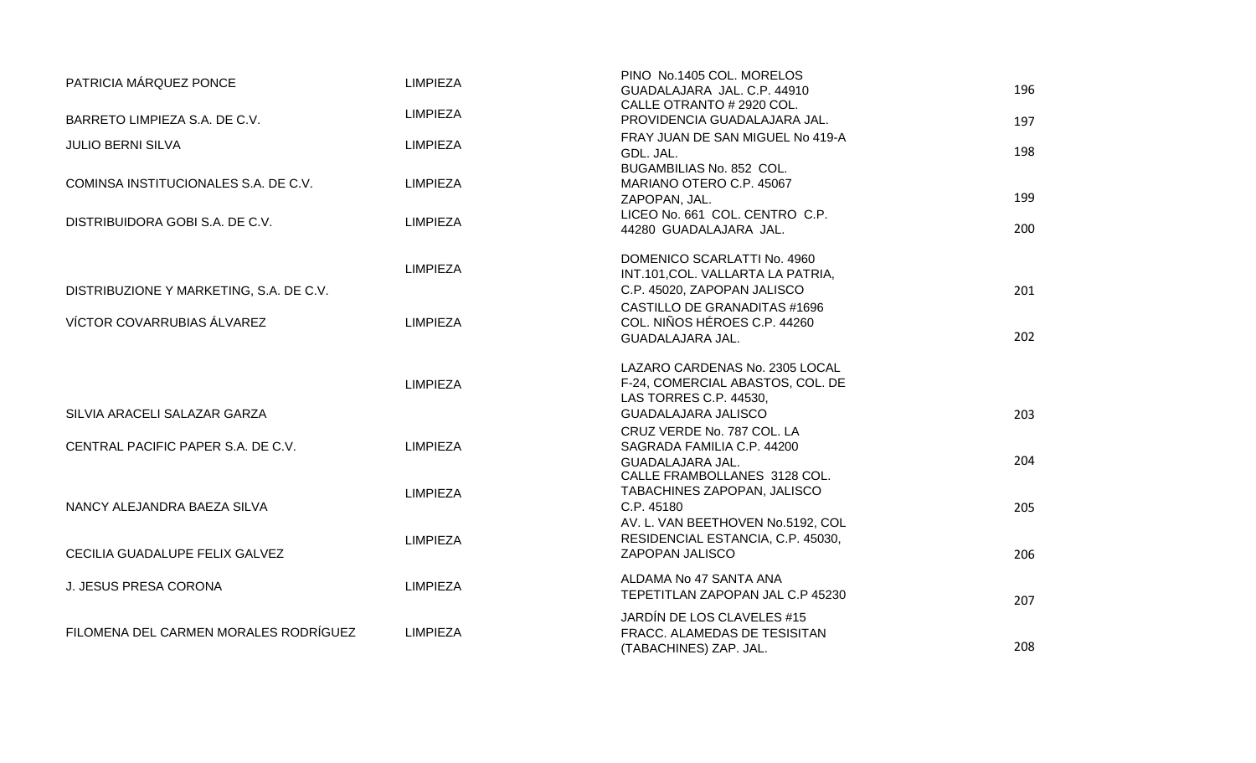| PATRICIA MÁRQUEZ PONCE                  | <b>LIMPIEZA</b> | PINO No.1405 COL. MORELOS<br>GUADALAJARA JAL. C.P. 44910                                                                   | 196 |
|-----------------------------------------|-----------------|----------------------------------------------------------------------------------------------------------------------------|-----|
| BARRETO LIMPIEZA S.A. DE C.V.           | <b>LIMPIEZA</b> | CALLE OTRANTO # 2920 COL.<br>PROVIDENCIA GUADALAJARA JAL.                                                                  | 197 |
| <b>JULIO BERNI SILVA</b>                | <b>LIMPIEZA</b> | FRAY JUAN DE SAN MIGUEL No 419-A<br>GDL. JAL.                                                                              | 198 |
| COMINSA INSTITUCIONALES S.A. DE C.V.    | <b>LIMPIEZA</b> | BUGAMBILIAS No. 852 COL.<br>MARIANO OTERO C.P. 45067<br>ZAPOPAN, JAL.                                                      | 199 |
| DISTRIBUIDORA GOBI S.A. DE C.V.         | <b>LIMPIEZA</b> | LICEO No. 661 COL. CENTRO C.P.<br>44280 GUADALAJARA JAL.                                                                   | 200 |
|                                         | <b>LIMPIEZA</b> | DOMENICO SCARLATTI No. 4960<br>INT.101, COL. VALLARTA LA PATRIA,                                                           |     |
| DISTRIBUZIONE Y MARKETING, S.A. DE C.V. |                 | C.P. 45020, ZAPOPAN JALISCO<br><b>CASTILLO DE GRANADITAS #1696</b>                                                         | 201 |
| VÍCTOR COVARRUBIAS ÁLVAREZ              | <b>LIMPIEZA</b> | COL. NIÑOS HÉROES C.P. 44260<br>GUADALAJARA JAL.                                                                           | 202 |
| SILVIA ARACELI SALAZAR GARZA            | <b>LIMPIEZA</b> | LAZARO CARDENAS No. 2305 LOCAL<br>F-24, COMERCIAL ABASTOS, COL. DE<br>LAS TORRES C.P. 44530.<br><b>GUADALAJARA JALISCO</b> | 203 |
| CENTRAL PACIFIC PAPER S.A. DE C.V.      | <b>LIMPIEZA</b> | CRUZ VERDE No. 787 COL. LA<br>SAGRADA FAMILIA C.P. 44200<br>GUADALAJARA JAL.                                               | 204 |
| NANCY ALEJANDRA BAEZA SILVA             | <b>LIMPIEZA</b> | CALLE FRAMBOLLANES 3128 COL.<br>TABACHINES ZAPOPAN, JALISCO<br>C.P. 45180                                                  | 205 |
| CECILIA GUADALUPE FELIX GALVEZ          | <b>LIMPIEZA</b> | AV. L. VAN BEETHOVEN No.5192, COL<br>RESIDENCIAL ESTANCIA, C.P. 45030,<br>ZAPOPAN JALISCO                                  | 206 |
| J. JESUS PRESA CORONA                   | <b>LIMPIEZA</b> | ALDAMA No 47 SANTA ANA<br>TEPETITLAN ZAPOPAN JAL C.P 45230                                                                 | 207 |
| FILOMENA DEL CARMEN MORALES RODRÍGUEZ   | <b>LIMPIEZA</b> | JARDÍN DE LOS CLAVELES #15<br>FRACC. ALAMEDAS DE TESISITAN<br>(TABACHINES) ZAP. JAL.                                       | 208 |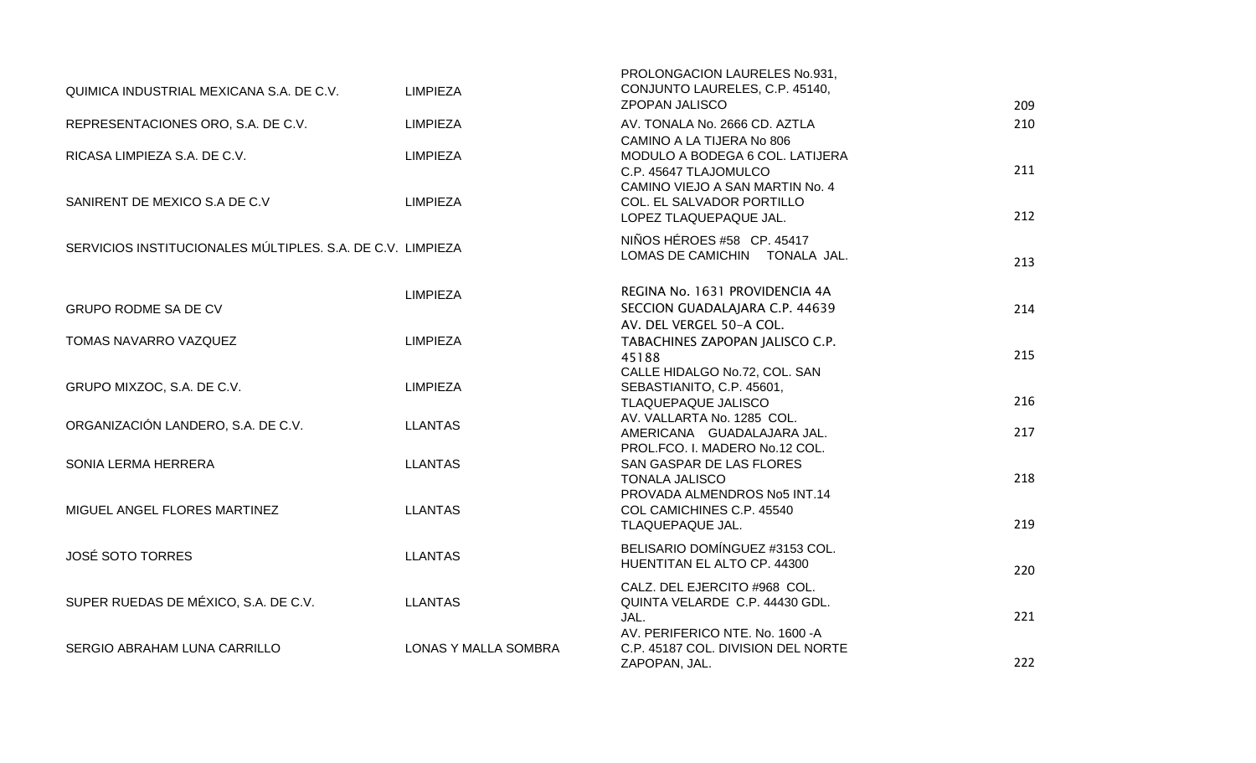| QUIMICA INDUSTRIAL MEXICANA S.A. DE C.V.                   | <b>LIMPIEZA</b>      | PROLONGACION LAURELES No.931,<br>CONJUNTO LAURELES, C.P. 45140,<br><b>ZPOPAN JALISCO</b>                                 | 209 |
|------------------------------------------------------------|----------------------|--------------------------------------------------------------------------------------------------------------------------|-----|
| REPRESENTACIONES ORO, S.A. DE C.V.                         | <b>LIMPIEZA</b>      | AV. TONALA No. 2666 CD. AZTLA                                                                                            | 210 |
| RICASA LIMPIEZA S.A. DE C.V.                               | <b>LIMPIEZA</b>      | CAMINO A LA TIJERA No 806<br>MODULO A BODEGA 6 COL. LATIJERA<br>C.P. 45647 TLAJOMULCO<br>CAMINO VIEJO A SAN MARTIN No. 4 | 211 |
| SANIRENT DE MEXICO S.A DE C.V                              | <b>LIMPIEZA</b>      | COL. EL SALVADOR PORTILLO<br>LOPEZ TLAQUEPAQUE JAL.                                                                      | 212 |
| SERVICIOS INSTITUCIONALES MÚLTIPLES. S.A. DE C.V. LIMPIEZA |                      | NIÑOS HÉROES #58 CP. 45417<br>LOMAS DE CAMICHIN TONALA JAL.                                                              | 213 |
| <b>GRUPO RODME SA DE CV</b>                                | <b>LIMPIEZA</b>      | REGINA No. 1631 PROVIDENCIA 4A<br>SECCION GUADALAJARA C.P. 44639<br>AV. DEL VERGEL 50-A COL.                             | 214 |
| TOMAS NAVARRO VAZQUEZ                                      | <b>LIMPIEZA</b>      | TABACHINES ZAPOPAN JALISCO C.P.<br>45188                                                                                 | 215 |
| GRUPO MIXZOC, S.A. DE C.V.                                 | <b>LIMPIEZA</b>      | CALLE HIDALGO No.72, COL. SAN<br>SEBASTIANITO, C.P. 45601,<br>TLAQUEPAQUE JALISCO                                        | 216 |
| ORGANIZACIÓN LANDERO, S.A. DE C.V.                         | <b>LLANTAS</b>       | AV. VALLARTA No. 1285 COL.<br>AMERICANA GUADALAJARA JAL.<br>PROL.FCO. I. MADERO No.12 COL.                               | 217 |
| SONIA LERMA HERRERA                                        | <b>LLANTAS</b>       | SAN GASPAR DE LAS FLORES<br><b>TONALA JALISCO</b>                                                                        | 218 |
| MIGUEL ANGEL FLORES MARTINEZ                               | <b>LLANTAS</b>       | PROVADA ALMENDROS No5 INT.14<br>COL CAMICHINES C.P. 45540<br>TLAQUEPAQUE JAL.                                            | 219 |
| <b>JOSÉ SOTO TORRES</b>                                    | <b>LLANTAS</b>       | BELISARIO DOMÍNGUEZ #3153 COL.<br>HUENTITAN EL ALTO CP. 44300                                                            | 220 |
| SUPER RUEDAS DE MÉXICO, S.A. DE C.V.                       | <b>LLANTAS</b>       | CALZ. DEL EJERCITO #968 COL.<br>QUINTA VELARDE C.P. 44430 GDL.<br>JAL.                                                   | 221 |
| SERGIO ABRAHAM LUNA CARRILLO                               | LONAS Y MALLA SOMBRA | AV. PERIFERICO NTE. No. 1600 - A<br>C.P. 45187 COL. DIVISION DEL NORTE<br>ZAPOPAN, JAL.                                  | 222 |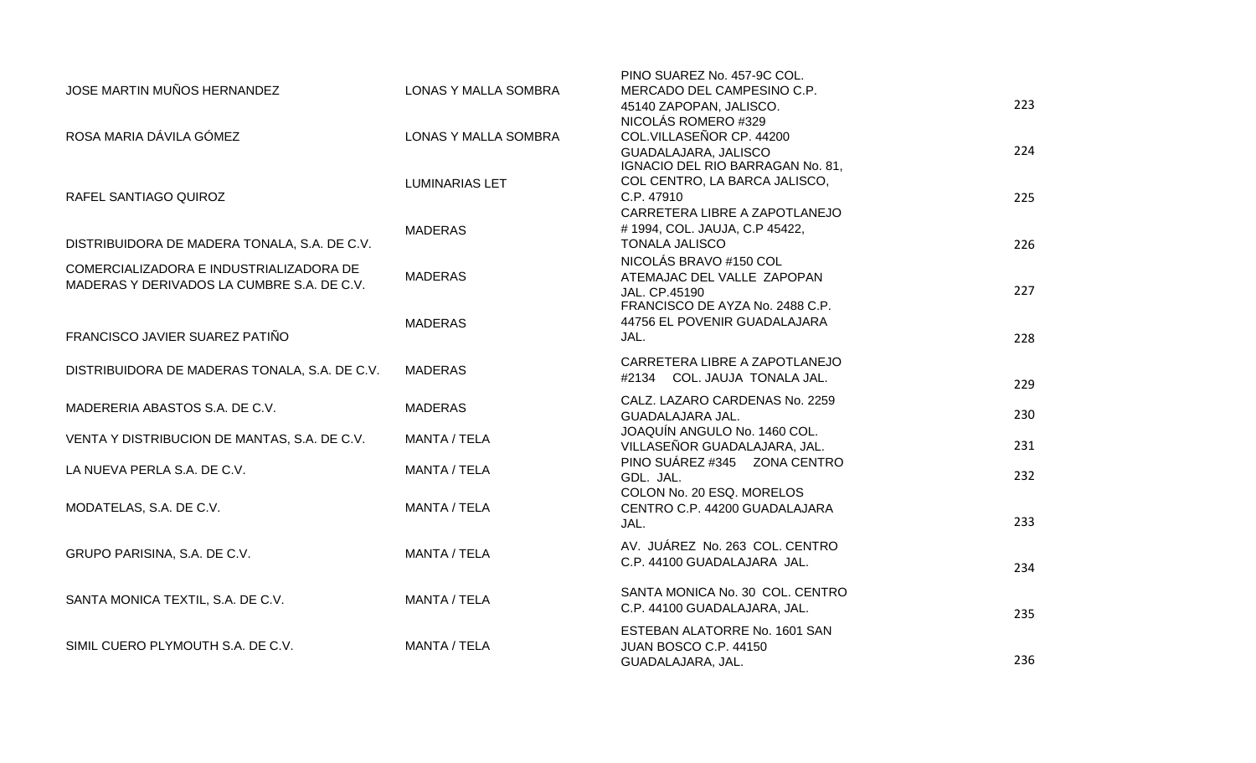| JOSE MARTIN MUÑOS HERNANDEZ                                                           | <b>LONAS Y MALLA SOMBRA</b> | PINO SUAREZ No. 457-9C COL.<br>MERCADO DEL CAMPESINO C.P. |     |
|---------------------------------------------------------------------------------------|-----------------------------|-----------------------------------------------------------|-----|
|                                                                                       |                             | 45140 ZAPOPAN, JALISCO.                                   | 223 |
|                                                                                       |                             | NICOLÁS ROMERO #329                                       |     |
| ROSA MARIA DÁVILA GÓMEZ                                                               | LONAS Y MALLA SOMBRA        | COL.VILLASEÑOR CP. 44200                                  |     |
|                                                                                       |                             | GUADALAJARA, JALISCO<br>IGNACIO DEL RIO BARRAGAN No. 81,  | 224 |
|                                                                                       | <b>LUMINARIAS LET</b>       | COL CENTRO, LA BARCA JALISCO,                             |     |
| RAFEL SANTIAGO QUIROZ                                                                 |                             | C.P. 47910                                                | 225 |
|                                                                                       |                             | CARRETERA LIBRE A ZAPOTLANEJO                             |     |
|                                                                                       | <b>MADERAS</b>              | #1994, COL. JAUJA, C.P 45422,                             |     |
| DISTRIBUIDORA DE MADERA TONALA, S.A. DE C.V.                                          |                             | <b>TONALA JALISCO</b>                                     | 226 |
|                                                                                       |                             | NICOLÁS BRAVO #150 COL                                    |     |
| COMERCIALIZADORA E INDUSTRIALIZADORA DE<br>MADERAS Y DERIVADOS LA CUMBRE S.A. DE C.V. | <b>MADERAS</b>              | ATEMAJAC DEL VALLE ZAPOPAN                                |     |
|                                                                                       |                             | JAL. CP.45190                                             | 227 |
|                                                                                       |                             | FRANCISCO DE AYZA No. 2488 C.P.                           |     |
|                                                                                       | <b>MADERAS</b>              | 44756 EL POVENIR GUADALAJARA                              |     |
| FRANCISCO JAVIER SUAREZ PATIÑO                                                        |                             | JAL.                                                      | 228 |
|                                                                                       | <b>MADERAS</b>              | CARRETERA LIBRE A ZAPOTLANEJO                             |     |
| DISTRIBUIDORA DE MADERAS TONALA, S.A. DE C.V.                                         |                             | #2134 COL. JAUJA TONALA JAL.                              | 229 |
|                                                                                       |                             | CALZ. LAZARO CARDENAS No. 2259                            |     |
| MADERERIA ABASTOS S.A. DE C.V.                                                        | <b>MADERAS</b>              | GUADALAJARA JAL.                                          | 230 |
|                                                                                       |                             | JOAQUÍN ANGULO No. 1460 COL.                              |     |
| VENTA Y DISTRIBUCION DE MANTAS, S.A. DE C.V.                                          | <b>MANTA / TELA</b>         | VILLASEÑOR GUADALAJARA, JAL.                              | 231 |
| LA NUEVA PERLA S.A. DE C.V.                                                           | MANTA / TELA                | PINO SUÁREZ #345 ZONA CENTRO                              |     |
|                                                                                       |                             | GDL. JAL.                                                 | 232 |
|                                                                                       |                             | COLON No. 20 ESQ. MORELOS                                 |     |
| MODATELAS, S.A. DE C.V.                                                               | MANTA / TELA                | CENTRO C.P. 44200 GUADALAJARA                             |     |
|                                                                                       |                             | JAL.                                                      | 233 |
| GRUPO PARISINA, S.A. DE C.V.                                                          | MANTA / TELA                | AV. JUÁREZ No. 263 COL. CENTRO                            |     |
|                                                                                       |                             | C.P. 44100 GUADALAJARA JAL.                               | 234 |
|                                                                                       |                             |                                                           |     |
| SANTA MONICA TEXTIL, S.A. DE C.V.                                                     | MANTA / TELA                | SANTA MONICA No. 30 COL. CENTRO                           |     |
|                                                                                       |                             | C.P. 44100 GUADALAJARA, JAL.                              | 235 |
|                                                                                       |                             | ESTEBAN ALATORRE No. 1601 SAN                             |     |
| SIMIL CUERO PLYMOUTH S.A. DE C.V.                                                     | MANTA / TELA                | JUAN BOSCO C.P. 44150                                     |     |
|                                                                                       |                             | GUADALAJARA, JAL.                                         | 236 |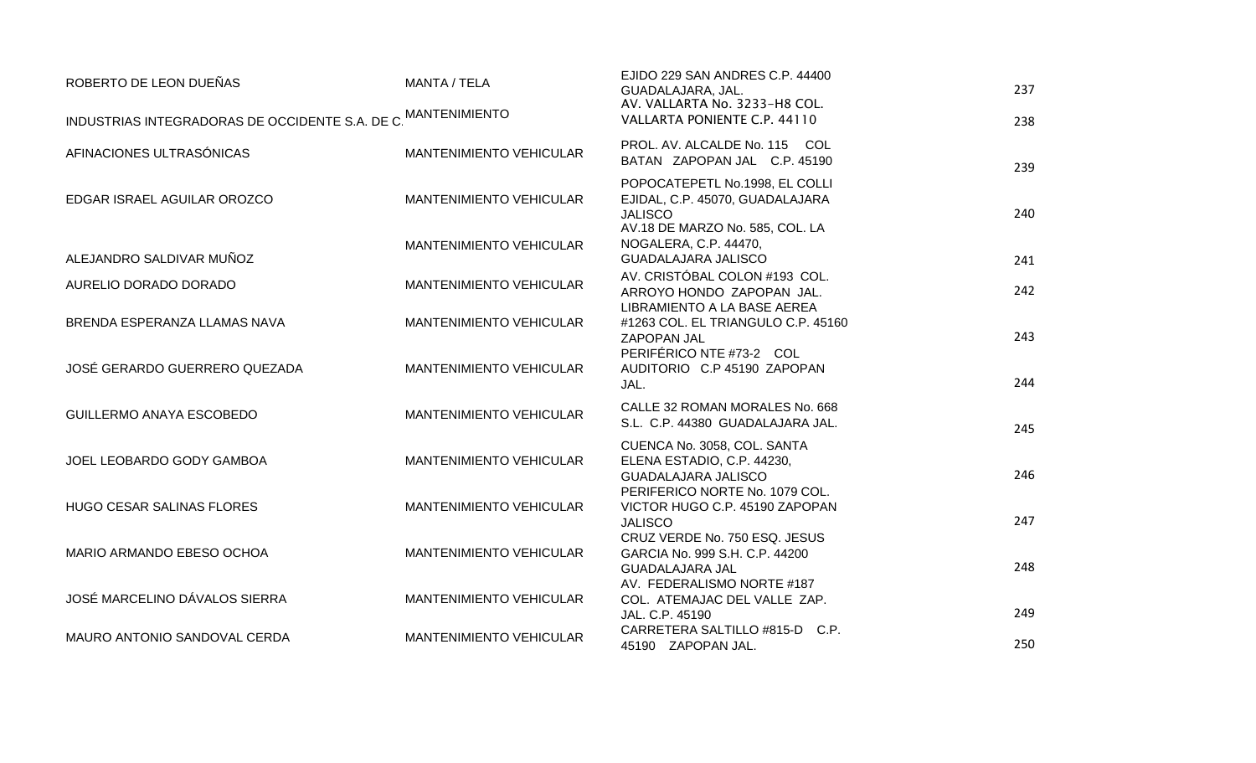| ROBERTO DE LEON DUEÑAS                                        | MANTA / TELA                   | EJIDO 229 SAN ANDRES C.P. 44400<br>GUADALAJARA, JAL.                                      | 237 |
|---------------------------------------------------------------|--------------------------------|-------------------------------------------------------------------------------------------|-----|
| INDUSTRIAS INTEGRADORAS DE OCCIDENTE S.A. DE C. MANTENIMIENTO |                                | AV. VALLARTA No. 3233-H8 COL.<br>VALLARTA PONIENTE C.P. 44110                             | 238 |
| AFINACIONES ULTRASÓNICAS                                      | <b>MANTENIMIENTO VEHICULAR</b> | PROL. AV. ALCALDE No. 115 COL<br>BATAN ZAPOPAN JAL C.P. 45190                             | 239 |
| EDGAR ISRAEL AGUILAR OROZCO                                   | <b>MANTENIMIENTO VEHICULAR</b> | POPOCATEPETL No.1998, EL COLLI<br>EJIDAL, C.P. 45070, GUADALAJARA<br><b>JALISCO</b>       | 240 |
| ALEJANDRO SALDIVAR MUÑOZ                                      | <b>MANTENIMIENTO VEHICULAR</b> | AV.18 DE MARZO No. 585, COL. LA<br>NOGALERA, C.P. 44470,<br><b>GUADALAJARA JALISCO</b>    | 241 |
| AURELIO DORADO DORADO                                         | <b>MANTENIMIENTO VEHICULAR</b> | AV. CRISTÓBAL COLON #193 COL.<br>ARROYO HONDO ZAPOPAN JAL.<br>LIBRAMIENTO A LA BASE AEREA | 242 |
| BRENDA ESPERANZA LLAMAS NAVA                                  | MANTENIMIENTO VEHICULAR        | #1263 COL. EL TRIANGULO C.P. 45160<br>ZAPOPAN JAL                                         | 243 |
| JOSÉ GERARDO GUERRERO QUEZADA                                 | <b>MANTENIMIENTO VEHICULAR</b> | PERIFÉRICO NTE #73-2 COL<br>AUDITORIO C.P 45190 ZAPOPAN<br>JAL.                           | 244 |
| <b>GUILLERMO ANAYA ESCOBEDO</b>                               | <b>MANTENIMIENTO VEHICULAR</b> | CALLE 32 ROMAN MORALES No. 668<br>S.L. C.P. 44380 GUADALAJARA JAL.                        | 245 |
| JOEL LEOBARDO GODY GAMBOA                                     | <b>MANTENIMIENTO VEHICULAR</b> | CUENCA No. 3058, COL. SANTA<br>ELENA ESTADIO, C.P. 44230,<br><b>GUADALAJARA JALISCO</b>   | 246 |
| <b>HUGO CESAR SALINAS FLORES</b>                              | <b>MANTENIMIENTO VEHICULAR</b> | PERIFERICO NORTE No. 1079 COL.<br>VICTOR HUGO C.P. 45190 ZAPOPAN<br><b>JALISCO</b>        | 247 |
| MARIO ARMANDO EBESO OCHOA                                     | <b>MANTENIMIENTO VEHICULAR</b> | CRUZ VERDE No. 750 ESQ. JESUS<br>GARCIA No. 999 S.H. C.P. 44200<br><b>GUADALAJARA JAL</b> | 248 |
| JOSÉ MARCELINO DÁVALOS SIERRA                                 | <b>MANTENIMIENTO VEHICULAR</b> | AV. FEDERALISMO NORTE #187<br>COL. ATEMAJAC DEL VALLE ZAP.<br>JAL. C.P. 45190             | 249 |
| MAURO ANTONIO SANDOVAL CERDA                                  | <b>MANTENIMIENTO VEHICULAR</b> | CARRETERA SALTILLO #815-D C.P.<br>45190 ZAPOPAN JAL.                                      | 250 |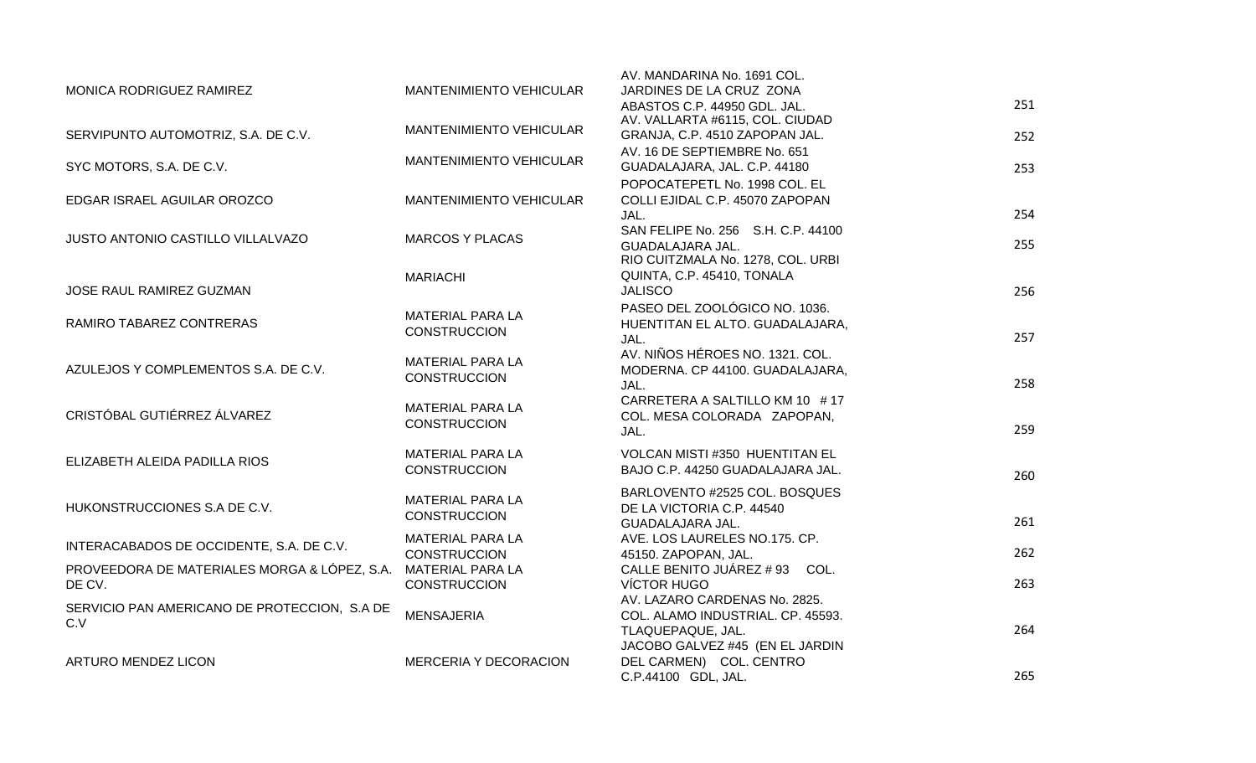|                                              |                                         | AV. MANDARINA No. 1691 COL.                                     |     |
|----------------------------------------------|-----------------------------------------|-----------------------------------------------------------------|-----|
| MONICA RODRIGUEZ RAMIREZ                     | <b>MANTENIMIENTO VEHICULAR</b>          | JARDINES DE LA CRUZ ZONA<br>ABASTOS C.P. 44950 GDL. JAL.        | 251 |
|                                              | <b>MANTENIMIENTO VEHICULAR</b>          | AV. VALLARTA #6115, COL. CIUDAD                                 |     |
| SERVIPUNTO AUTOMOTRIZ, S.A. DE C.V.          |                                         | GRANJA, C.P. 4510 ZAPOPAN JAL.                                  | 252 |
|                                              | <b>MANTENIMIENTO VEHICULAR</b>          | AV. 16 DE SEPTIEMBRE No. 651                                    |     |
| SYC MOTORS, S.A. DE C.V.                     |                                         | GUADALAJARA, JAL. C.P. 44180<br>POPOCATEPETL No. 1998 COL. EL   | 253 |
| EDGAR ISRAEL AGUILAR OROZCO                  | <b>MANTENIMIENTO VEHICULAR</b>          | COLLI EJIDAL C.P. 45070 ZAPOPAN                                 |     |
|                                              |                                         | JAL.                                                            | 254 |
| JUSTO ANTONIO CASTILLO VILLALVAZO            | <b>MARCOS Y PLACAS</b>                  | SAN FELIPE No. 256 S.H. C.P. 44100                              |     |
|                                              |                                         | GUADALAJARA JAL.                                                | 255 |
|                                              |                                         | RIO CUITZMALA No. 1278, COL. URBI<br>QUINTA, C.P. 45410, TONALA |     |
| JOSE RAUL RAMIREZ GUZMAN                     | <b>MARIACHI</b>                         | <b>JALISCO</b>                                                  | 256 |
|                                              |                                         | PASEO DEL ZOOLÓGICO NO. 1036.                                   |     |
| RAMIRO TABAREZ CONTRERAS                     | MATERIAL PARA LA<br><b>CONSTRUCCION</b> | HUENTITAN EL ALTO. GUADALAJARA,                                 |     |
|                                              |                                         | JAL.                                                            | 257 |
|                                              | <b>MATERIAL PARA LA</b>                 | AV. NIÑOS HÉROES NO. 1321. COL.                                 |     |
| AZULEJOS Y COMPLEMENTOS S.A. DE C.V.         | <b>CONSTRUCCION</b>                     | MODERNA. CP 44100. GUADALAJARA,<br>JAL.                         | 258 |
|                                              |                                         | CARRETERA A SALTILLO KM 10 #17                                  |     |
| CRISTÓBAL GUTIÉRREZ ÁLVAREZ                  | MATERIAL PARA LA<br><b>CONSTRUCCION</b> | COL. MESA COLORADA ZAPOPAN,                                     |     |
|                                              |                                         | JAL.                                                            | 259 |
| ELIZABETH ALEIDA PADILLA RIOS                | MATERIAL PARA LA                        | VOLCAN MISTI #350 HUENTITAN EL                                  |     |
|                                              | <b>CONSTRUCCION</b>                     | BAJO C.P. 44250 GUADALAJARA JAL.                                | 260 |
|                                              |                                         | BARLOVENTO #2525 COL. BOSQUES                                   |     |
| HUKONSTRUCCIONES S.A DE C.V.                 | MATERIAL PARA LA<br><b>CONSTRUCCION</b> | DE LA VICTORIA C.P. 44540                                       |     |
|                                              |                                         | GUADALAJARA JAL.                                                | 261 |
| INTERACABADOS DE OCCIDENTE, S.A. DE C.V.     | MATERIAL PARA LA<br><b>CONSTRUCCION</b> | AVE. LOS LAURELES NO.175. CP.<br>45150. ZAPOPAN, JAL.           | 262 |
| PROVEEDORA DE MATERIALES MORGA & LÓPEZ, S.A. | <b>MATERIAL PARA LA</b>                 | CALLE BENITO JUÁREZ # 93 COL.                                   |     |
| DE CV.                                       | <b>CONSTRUCCION</b>                     | <b>VÍCTOR HUGO</b>                                              | 263 |
| SERVICIO PAN AMERICANO DE PROTECCION, S.A DE |                                         | AV. LAZARO CARDENAS No. 2825.                                   |     |
| C.V                                          | <b>MENSAJERIA</b>                       | COL. ALAMO INDUSTRIAL. CP. 45593.                               | 264 |
|                                              |                                         | TLAQUEPAQUE, JAL.<br>JACOBO GALVEZ #45 (EN EL JARDIN            |     |
| ARTURO MENDEZ LICON                          | MERCERIA Y DECORACION                   | DEL CARMEN) COL. CENTRO                                         |     |
|                                              |                                         | C.P.44100 GDL, JAL.                                             | 265 |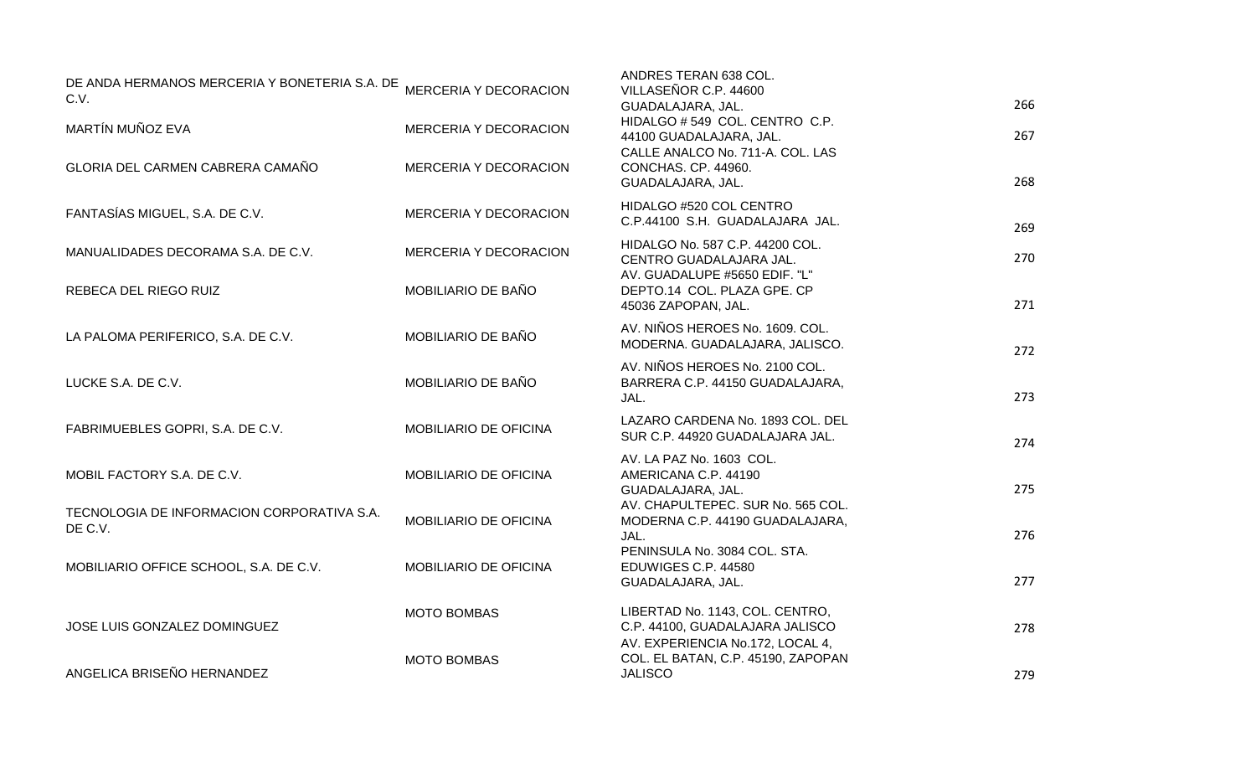| DE ANDA HERMANOS MERCERIA Y BONETERIA S.A. DE MERCERIA Y DECORACION<br>C.V. |                              | ANDRES TERAN 638 COL.<br>VILLASEÑOR C.P. 44600<br>GUADALAJARA, JAL.                          | 266 |
|-----------------------------------------------------------------------------|------------------------------|----------------------------------------------------------------------------------------------|-----|
| MARTÍN MUÑOZ EVA                                                            | <b>MERCERIA Y DECORACION</b> | HIDALGO #549 COL. CENTRO C.P.<br>44100 GUADALAJARA, JAL.<br>CALLE ANALCO No. 711-A. COL. LAS | 267 |
| GLORIA DEL CARMEN CABRERA CAMAÑO                                            | MERCERIA Y DECORACION        | CONCHAS. CP. 44960.<br>GUADALAJARA, JAL.                                                     | 268 |
| FANTASÍAS MIGUEL, S.A. DE C.V.                                              | MERCERIA Y DECORACION        | HIDALGO #520 COL CENTRO<br>C.P.44100 S.H. GUADALAJARA JAL.                                   | 269 |
| MANUALIDADES DECORAMA S.A. DE C.V.                                          | MERCERIA Y DECORACION        | HIDALGO No. 587 C.P. 44200 COL.<br>CENTRO GUADALAJARA JAL.<br>AV. GUADALUPE #5650 EDIF. "L"  | 270 |
| REBECA DEL RIEGO RUIZ                                                       | MOBILIARIO DE BAÑO           | DEPTO.14 COL. PLAZA GPE. CP<br>45036 ZAPOPAN, JAL.                                           | 271 |
| LA PALOMA PERIFERICO, S.A. DE C.V.                                          | MOBILIARIO DE BAÑO           | AV. NIÑOS HEROES No. 1609. COL.<br>MODERNA. GUADALAJARA, JALISCO.                            | 272 |
| LUCKE S.A. DE C.V.                                                          | MOBILIARIO DE BAÑO           | AV. NIÑOS HEROES No. 2100 COL.<br>BARRERA C.P. 44150 GUADALAJARA,<br>JAL.                    | 273 |
| FABRIMUEBLES GOPRI, S.A. DE C.V.                                            | MOBILIARIO DE OFICINA        | LAZARO CARDENA No. 1893 COL. DEL<br>SUR C.P. 44920 GUADALAJARA JAL.                          | 274 |
| MOBIL FACTORY S.A. DE C.V.                                                  | MOBILIARIO DE OFICINA        | AV. LA PAZ No. 1603 COL.<br>AMERICANA C.P. 44190<br>GUADALAJARA, JAL.                        | 275 |
| TECNOLOGIA DE INFORMACION CORPORATIVA S.A.<br>DE C.V.                       | MOBILIARIO DE OFICINA        | AV. CHAPULTEPEC. SUR No. 565 COL.<br>MODERNA C.P. 44190 GUADALAJARA,<br>JAL.                 | 276 |
| MOBILIARIO OFFICE SCHOOL, S.A. DE C.V.                                      | MOBILIARIO DE OFICINA        | PENINSULA No. 3084 COL. STA.<br>EDUWIGES C.P. 44580<br>GUADALAJARA, JAL.                     | 277 |
| JOSE LUIS GONZALEZ DOMINGUEZ                                                | <b>MOTO BOMBAS</b>           | LIBERTAD No. 1143, COL. CENTRO,<br>C.P. 44100, GUADALAJARA JALISCO                           | 278 |
| ANGELICA BRISEÑO HERNANDEZ                                                  | <b>MOTO BOMBAS</b>           | AV. EXPERIENCIA No.172, LOCAL 4,<br>COL. EL BATAN, C.P. 45190, ZAPOPAN<br><b>JALISCO</b>     | 279 |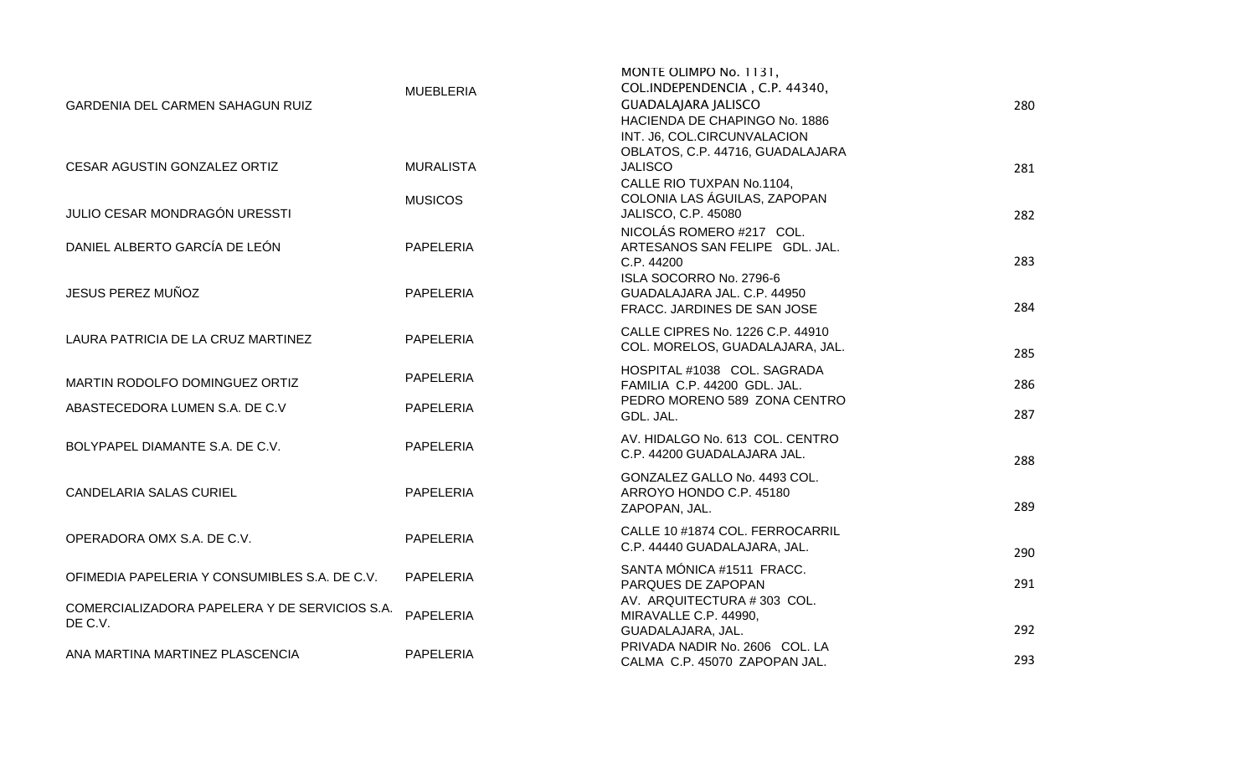| <b>GARDENIA DEL CARMEN SAHAGUN RUIZ</b>                  | <b>MUEBLERIA</b> | MONTE OLIMPO No. 1131,<br>COL.INDEPENDENCIA, C.P. 44340,<br><b>GUADALAJARA JALISCO</b><br>HACIENDA DE CHAPINGO No. 1886<br>INT. J6, COL.CIRCUNVALACION | 280 |
|----------------------------------------------------------|------------------|--------------------------------------------------------------------------------------------------------------------------------------------------------|-----|
| CESAR AGUSTIN GONZALEZ ORTIZ                             | <b>MURALISTA</b> | OBLATOS, C.P. 44716, GUADALAJARA<br><b>JALISCO</b><br>CALLE RIO TUXPAN No.1104,                                                                        | 281 |
| JULIO CESAR MONDRAGÓN URESSTI                            | <b>MUSICOS</b>   | COLONIA LAS ÁGUILAS, ZAPOPAN<br>JALISCO, C.P. 45080                                                                                                    | 282 |
| DANIEL ALBERTO GARCÍA DE LEÓN                            | <b>PAPELERIA</b> | NICOLÁS ROMERO #217 COL.<br>ARTESANOS SAN FELIPE GDL. JAL.<br>C.P. 44200                                                                               | 283 |
| JESUS PEREZ MUÑOZ                                        | <b>PAPELERIA</b> | ISLA SOCORRO No. 2796-6<br>GUADALAJARA JAL. C.P. 44950<br>FRACC. JARDINES DE SAN JOSE                                                                  | 284 |
| LAURA PATRICIA DE LA CRUZ MARTINEZ                       | <b>PAPELERIA</b> | CALLE CIPRES No. 1226 C.P. 44910<br>COL. MORELOS, GUADALAJARA, JAL.                                                                                    | 285 |
| MARTIN RODOLFO DOMINGUEZ ORTIZ                           | <b>PAPELERIA</b> | HOSPITAL #1038 COL. SAGRADA<br>FAMILIA C.P. 44200 GDL. JAL.<br>PEDRO MORENO 589 ZONA CENTRO                                                            | 286 |
| ABASTECEDORA LUMEN S.A. DE C.V                           | PAPELERIA        | GDL. JAL.                                                                                                                                              | 287 |
| BOLYPAPEL DIAMANTE S.A. DE C.V.                          | PAPELERIA        | AV. HIDALGO No. 613 COL. CENTRO<br>C.P. 44200 GUADALAJARA JAL.                                                                                         | 288 |
| <b>CANDELARIA SALAS CURIEL</b>                           | <b>PAPELERIA</b> | GONZALEZ GALLO No. 4493 COL.<br>ARROYO HONDO C.P. 45180<br>ZAPOPAN, JAL.                                                                               | 289 |
| OPERADORA OMX S.A. DE C.V.                               | <b>PAPELERIA</b> | CALLE 10 #1874 COL. FERROCARRIL<br>C.P. 44440 GUADALAJARA, JAL.                                                                                        | 290 |
| OFIMEDIA PAPELERIA Y CONSUMIBLES S.A. DE C.V.            | <b>PAPELERIA</b> | SANTA MÓNICA #1511 FRACC.<br>PARQUES DE ZAPOPAN                                                                                                        | 291 |
| COMERCIALIZADORA PAPELERA Y DE SERVICIOS S.A.<br>DE C.V. | <b>PAPELERIA</b> | AV. ARQUITECTURA #303 COL.<br>MIRAVALLE C.P. 44990,<br>GUADALAJARA, JAL.                                                                               | 292 |
| ANA MARTINA MARTINEZ PLASCENCIA                          | <b>PAPELERIA</b> | PRIVADA NADIR No. 2606 COL. LA<br>CALMA C.P. 45070 ZAPOPAN JAL.                                                                                        | 293 |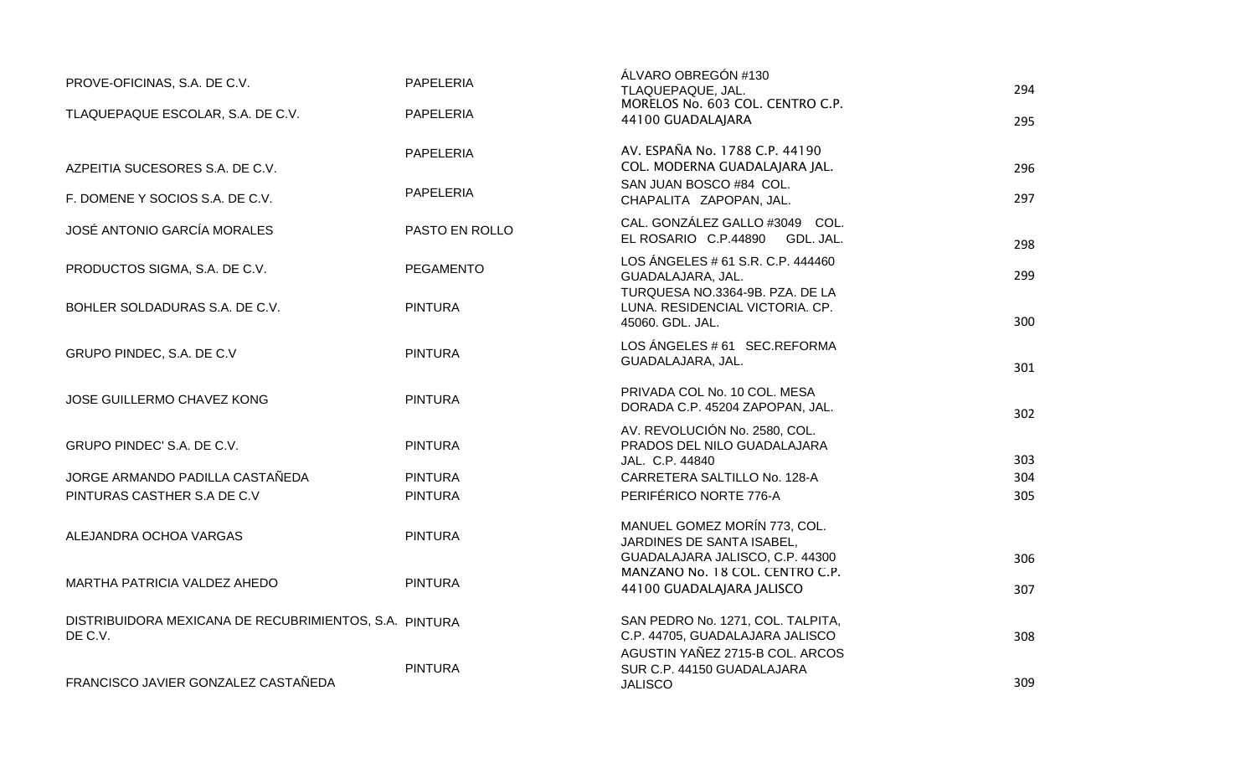| PROVE-OFICINAS, S.A. DE C.V.                                      | <b>PAPELERIA</b> | ALVARO OBREGON #130<br>TLAQUEPAQUE, JAL.                                                     | 294 |
|-------------------------------------------------------------------|------------------|----------------------------------------------------------------------------------------------|-----|
| TLAQUEPAQUE ESCOLAR, S.A. DE C.V.                                 | PAPELERIA        | MORELOS No. 603 COL. CENTRO C.P.<br>44100 GUADALAJARA                                        | 295 |
| AZPEITIA SUCESORES S.A. DE C.V.                                   | PAPELERIA        | AV. ESPAÑA No. 1788 C.P. 44190<br>COL. MODERNA GUADALAJARA JAL.                              | 296 |
| F. DOMENE Y SOCIOS S.A. DE C.V.                                   | PAPELERIA        | SAN JUAN BOSCO #84 COL.<br>CHAPALITA ZAPOPAN, JAL.                                           | 297 |
| <b>JOSÉ ANTONIO GARCÍA MORALES</b>                                | PASTO EN ROLLO   | CAL. GONZÁLEZ GALLO #3049 COL.<br>EL ROSARIO C.P.44890<br>GDL. JAL.                          | 298 |
| PRODUCTOS SIGMA, S.A. DE C.V.                                     | <b>PEGAMENTO</b> | LOS ÁNGELES # 61 S.R. C.P. 444460<br>GUADALAJARA, JAL.                                       | 299 |
| BOHLER SOLDADURAS S.A. DE C.V.                                    | <b>PINTURA</b>   | TURQUESA NO.3364-9B. PZA. DE LA<br>LUNA. RESIDENCIAL VICTORIA. CP.<br>45060. GDL. JAL.       | 300 |
| GRUPO PINDEC, S.A. DE C.V                                         | <b>PINTURA</b>   | LOS ÁNGELES # 61 SEC.REFORMA<br>GUADALAJARA, JAL.                                            | 301 |
| JOSE GUILLERMO CHAVEZ KONG                                        | <b>PINTURA</b>   | PRIVADA COL No. 10 COL. MESA<br>DORADA C.P. 45204 ZAPOPAN, JAL.                              | 302 |
| GRUPO PINDEC' S.A. DE C.V.                                        | <b>PINTURA</b>   | AV. REVOLUCIÓN No. 2580, COL.<br>PRADOS DEL NILO GUADALAJARA                                 | 303 |
| JORGE ARMANDO PADILLA CASTAÑEDA                                   | <b>PINTURA</b>   | JAL. C.P. 44840<br>CARRETERA SALTILLO No. 128-A                                              | 304 |
| PINTURAS CASTHER S.A DE C.V                                       | <b>PINTURA</b>   | PERIFÉRICO NORTE 776-A                                                                       | 305 |
| ALEJANDRA OCHOA VARGAS                                            | <b>PINTURA</b>   | MANUEL GOMEZ MORÍN 773, COL.<br>JARDINES DE SANTA ISABEL,<br>GUADALAJARA JALISCO, C.P. 44300 | 306 |
| MARTHA PATRICIA VALDEZ AHEDO                                      | <b>PINTURA</b>   | MANZANO No. 18 COL. CENTRO C.P.<br>44100 GUADALAJARA JALISCO                                 | 307 |
| DISTRIBUIDORA MEXICANA DE RECUBRIMIENTOS, S.A. PINTURA<br>DE C.V. |                  | SAN PEDRO No. 1271, COL. TALPITA,<br>C.P. 44705, GUADALAJARA JALISCO                         | 308 |
| FRANCISCO JAVIER GONZALEZ CASTAÑEDA                               | <b>PINTURA</b>   | AGUSTIN YAÑEZ 2715-B COL. ARCOS<br>SUR C.P. 44150 GUADALAJARA<br><b>JALISCO</b>              | 309 |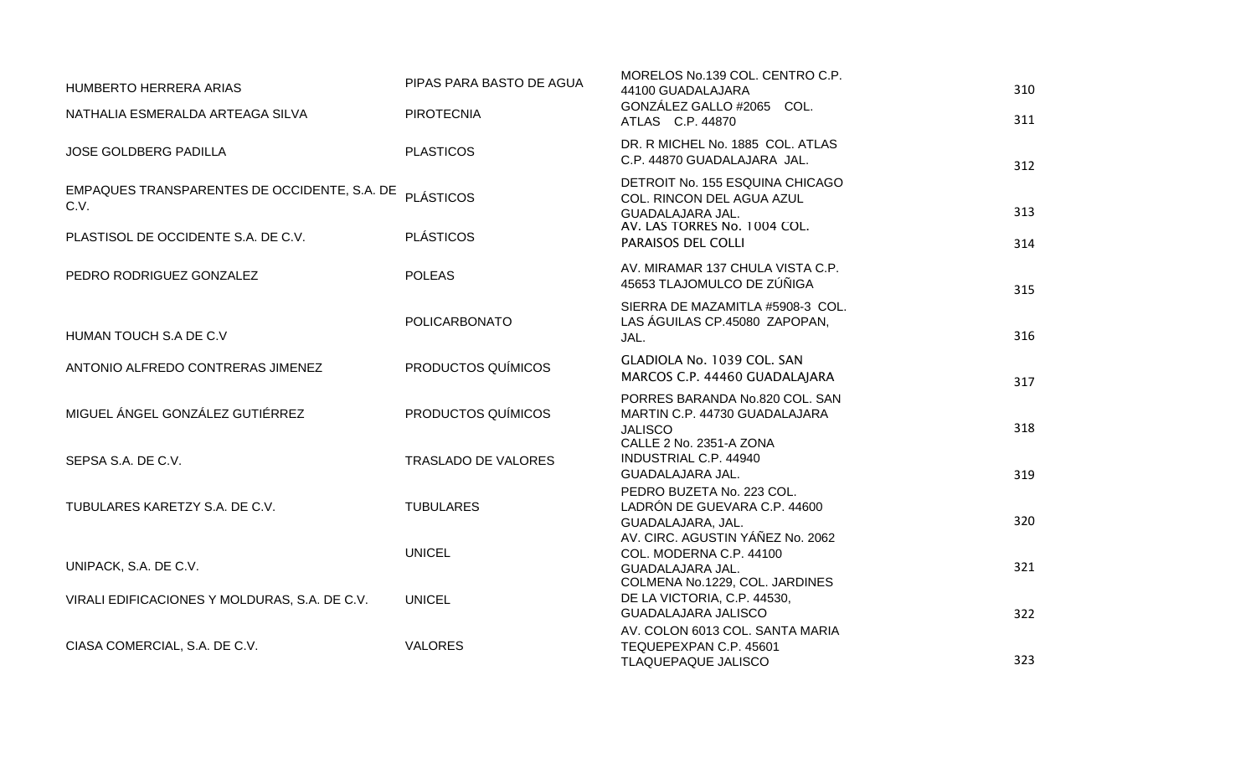| HUMBERTO HERRERA ARIAS                               | PIPAS PARA BASTO DE AGUA   | MORELOS No.139 COL. CENTRO C.P.<br>44100 GUADALAJARA                                                         | 310 |
|------------------------------------------------------|----------------------------|--------------------------------------------------------------------------------------------------------------|-----|
| NATHALIA ESMERALDA ARTEAGA SILVA                     | <b>PIROTECNIA</b>          | GONZÁLEZ GALLO #2065 COL.<br>ATLAS C.P. 44870                                                                | 311 |
| <b>JOSE GOLDBERG PADILLA</b>                         | <b>PLASTICOS</b>           | DR. R MICHEL No. 1885 COL. ATLAS<br>C.P. 44870 GUADALAJARA JAL.                                              | 312 |
| EMPAQUES TRANSPARENTES DE OCCIDENTE, S.A. DE<br>C.V. | <b>PLÁSTICOS</b>           | DETROIT No. 155 ESQUINA CHICAGO<br>COL. RINCON DEL AGUA AZUL<br>GUADALAJARA JAL.                             | 313 |
| PLASTISOL DE OCCIDENTE S.A. DE C.V.                  | <b>PLÁSTICOS</b>           | AV. LAS TORRES No. 1004 COL.<br>PARAISOS DEL COLLI                                                           | 314 |
| PEDRO RODRIGUEZ GONZALEZ                             | <b>POLEAS</b>              | AV. MIRAMAR 137 CHULA VISTA C.P.<br>45653 TLAJOMULCO DE ZÚÑIGA                                               | 315 |
| HUMAN TOUCH S.A DE C.V                               | <b>POLICARBONATO</b>       | SIERRA DE MAZAMITLA #5908-3 COL.<br>LAS ÁGUILAS CP.45080 ZAPOPAN,<br>JAL.                                    | 316 |
| ANTONIO ALFREDO CONTRERAS JIMENEZ                    | PRODUCTOS QUÍMICOS         | GLADIOLA No. 1039 COL. SAN<br>MARCOS C.P. 44460 GUADALAJARA                                                  | 317 |
| MIGUEL ÁNGEL GONZÁLEZ GUTIÉRREZ                      | PRODUCTOS QUÍMICOS         | PORRES BARANDA No.820 COL. SAN<br>MARTIN C.P. 44730 GUADALAJARA<br><b>JALISCO</b><br>CALLE 2 No. 2351-A ZONA | 318 |
| SEPSA S.A. DE C.V.                                   | <b>TRASLADO DE VALORES</b> | <b>INDUSTRIAL C.P. 44940</b><br>GUADALAJARA JAL.                                                             | 319 |
| TUBULARES KARETZY S.A. DE C.V.                       | <b>TUBULARES</b>           | PEDRO BUZETA No. 223 COL.<br>LADRÓN DE GUEVARA C.P. 44600<br>GUADALAJARA, JAL.                               | 320 |
| UNIPACK, S.A. DE C.V.                                | <b>UNICEL</b>              | AV. CIRC. AGUSTIN YÁÑEZ No. 2062<br>COL. MODERNA C.P. 44100<br>GUADALAJARA JAL.                              | 321 |
| VIRALI EDIFICACIONES Y MOLDURAS, S.A. DE C.V.        | <b>UNICEL</b>              | COLMENA No.1229, COL. JARDINES<br>DE LA VICTORIA, C.P. 44530,<br><b>GUADALAJARA JALISCO</b>                  | 322 |
| CIASA COMERCIAL, S.A. DE C.V.                        | <b>VALORES</b>             | AV. COLON 6013 COL. SANTA MARIA<br>TEQUEPEXPAN C.P. 45601<br>TLAQUEPAQUE JALISCO                             | 323 |